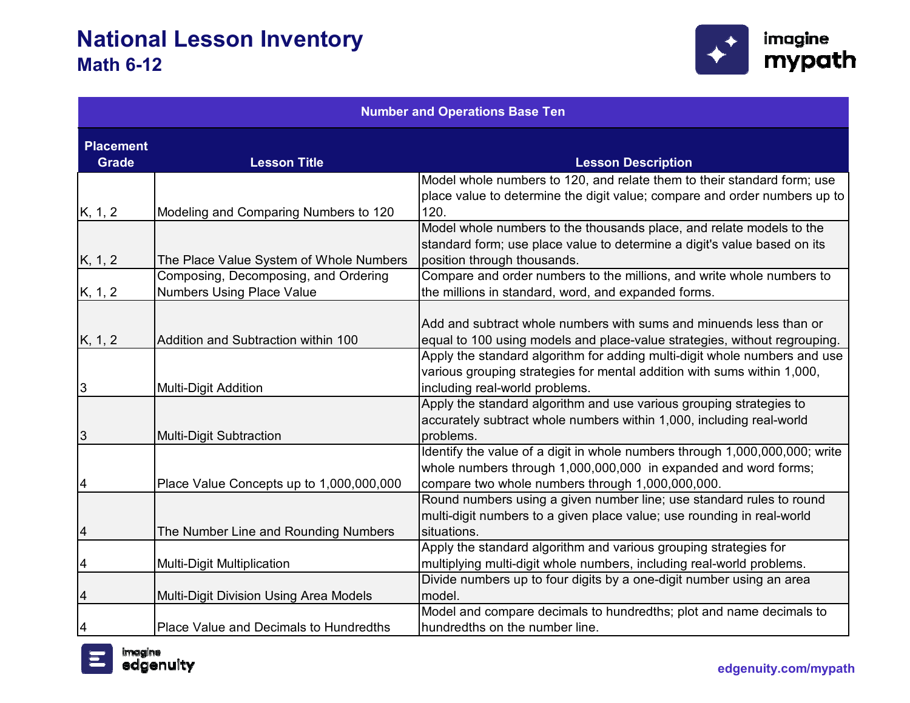

| <b>Number and Operations Base Ten</b> |                                          |                                                                                                                                                 |
|---------------------------------------|------------------------------------------|-------------------------------------------------------------------------------------------------------------------------------------------------|
| <b>Placement</b>                      |                                          |                                                                                                                                                 |
| <b>Grade</b>                          | <b>Lesson Title</b>                      | <b>Lesson Description</b>                                                                                                                       |
|                                       |                                          | Model whole numbers to 120, and relate them to their standard form; use                                                                         |
|                                       |                                          | place value to determine the digit value; compare and order numbers up to                                                                       |
| K, 1, 2                               | Modeling and Comparing Numbers to 120    | 120.                                                                                                                                            |
|                                       |                                          | Model whole numbers to the thousands place, and relate models to the                                                                            |
|                                       |                                          | standard form; use place value to determine a digit's value based on its                                                                        |
| K, 1, 2                               | The Place Value System of Whole Numbers  | position through thousands.                                                                                                                     |
|                                       | Composing, Decomposing, and Ordering     | Compare and order numbers to the millions, and write whole numbers to                                                                           |
| K, 1, 2                               | <b>Numbers Using Place Value</b>         | the millions in standard, word, and expanded forms.                                                                                             |
|                                       |                                          |                                                                                                                                                 |
|                                       | Addition and Subtraction within 100      | Add and subtract whole numbers with sums and minuends less than or<br>equal to 100 using models and place-value strategies, without regrouping. |
| K, 1, 2                               |                                          | Apply the standard algorithm for adding multi-digit whole numbers and use                                                                       |
|                                       |                                          | various grouping strategies for mental addition with sums within 1,000,                                                                         |
| 3                                     | <b>Multi-Digit Addition</b>              | including real-world problems.                                                                                                                  |
|                                       |                                          | Apply the standard algorithm and use various grouping strategies to                                                                             |
|                                       |                                          | accurately subtract whole numbers within 1,000, including real-world                                                                            |
| $\mathfrak{S}$                        | <b>Multi-Digit Subtraction</b>           | problems.                                                                                                                                       |
|                                       |                                          | Identify the value of a digit in whole numbers through 1,000,000,000; write                                                                     |
|                                       |                                          | whole numbers through 1,000,000,000 in expanded and word forms;                                                                                 |
| 4                                     | Place Value Concepts up to 1,000,000,000 | compare two whole numbers through 1,000,000,000.                                                                                                |
|                                       |                                          | Round numbers using a given number line; use standard rules to round                                                                            |
|                                       |                                          | multi-digit numbers to a given place value; use rounding in real-world                                                                          |
| 4                                     | The Number Line and Rounding Numbers     | situations.                                                                                                                                     |
|                                       |                                          | Apply the standard algorithm and various grouping strategies for                                                                                |
| 4                                     | Multi-Digit Multiplication               | multiplying multi-digit whole numbers, including real-world problems.                                                                           |
|                                       |                                          | Divide numbers up to four digits by a one-digit number using an area                                                                            |
| 4                                     | Multi-Digit Division Using Area Models   | model.                                                                                                                                          |
|                                       |                                          | Model and compare decimals to hundredths; plot and name decimals to                                                                             |
| 4                                     | Place Value and Decimals to Hundredths   | hundredths on the number line.                                                                                                                  |

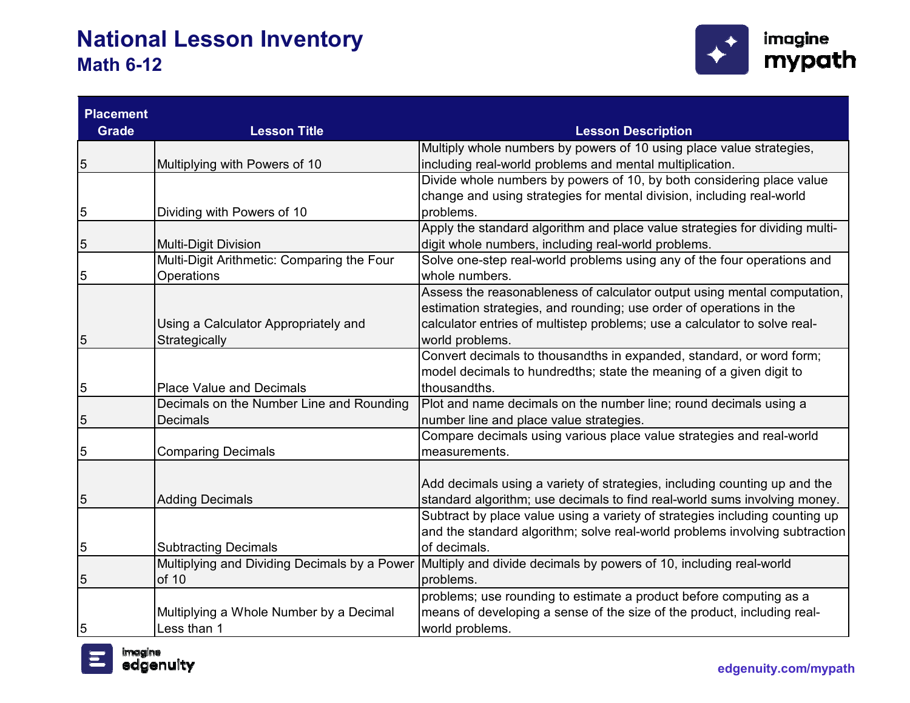

| <b>Placement</b> |                                              |                                                                             |
|------------------|----------------------------------------------|-----------------------------------------------------------------------------|
| <b>Grade</b>     | <b>Lesson Title</b>                          | <b>Lesson Description</b>                                                   |
|                  |                                              | Multiply whole numbers by powers of 10 using place value strategies,        |
| 5                | Multiplying with Powers of 10                | including real-world problems and mental multiplication.                    |
|                  |                                              | Divide whole numbers by powers of 10, by both considering place value       |
|                  |                                              | change and using strategies for mental division, including real-world       |
| 5                | Dividing with Powers of 10                   | problems.                                                                   |
|                  |                                              | Apply the standard algorithm and place value strategies for dividing multi- |
| 5                | Multi-Digit Division                         | digit whole numbers, including real-world problems.                         |
|                  | Multi-Digit Arithmetic: Comparing the Four   | Solve one-step real-world problems using any of the four operations and     |
| 5                | Operations                                   | whole numbers.                                                              |
|                  |                                              | Assess the reasonableness of calculator output using mental computation,    |
|                  |                                              | estimation strategies, and rounding; use order of operations in the         |
|                  | Using a Calculator Appropriately and         | calculator entries of multistep problems; use a calculator to solve real-   |
| 5                | Strategically                                | world problems.                                                             |
|                  |                                              | Convert decimals to thousandths in expanded, standard, or word form;        |
|                  |                                              | model decimals to hundredths; state the meaning of a given digit to         |
| 5                | <b>Place Value and Decimals</b>              | thousandths.                                                                |
|                  | Decimals on the Number Line and Rounding     | Plot and name decimals on the number line; round decimals using a           |
| 5                | <b>Decimals</b>                              | number line and place value strategies.                                     |
|                  |                                              | Compare decimals using various place value strategies and real-world        |
| 5                | <b>Comparing Decimals</b>                    | measurements.                                                               |
|                  |                                              |                                                                             |
|                  |                                              | Add decimals using a variety of strategies, including counting up and the   |
| 5                | <b>Adding Decimals</b>                       | standard algorithm; use decimals to find real-world sums involving money.   |
|                  |                                              | Subtract by place value using a variety of strategies including counting up |
|                  |                                              | and the standard algorithm; solve real-world problems involving subtraction |
| 5                | <b>Subtracting Decimals</b>                  | of decimals.                                                                |
|                  | Multiplying and Dividing Decimals by a Power | Multiply and divide decimals by powers of 10, including real-world          |
| 5                | of 10                                        | problems.                                                                   |
|                  |                                              | problems; use rounding to estimate a product before computing as a          |
|                  | Multiplying a Whole Number by a Decimal      | means of developing a sense of the size of the product, including real-     |
| 5                | Less than 1                                  | world problems.                                                             |

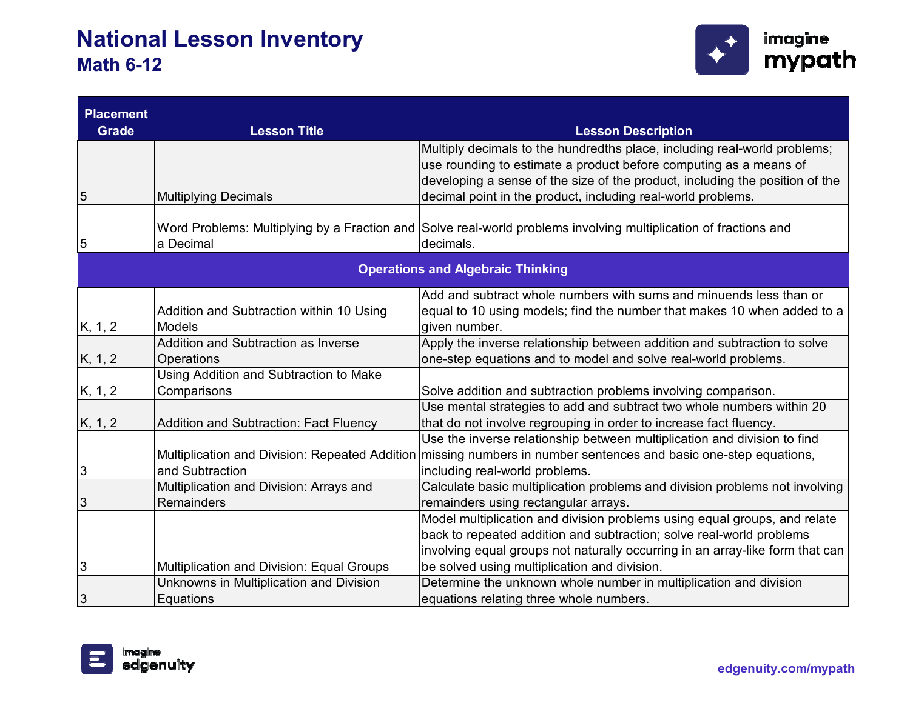

| <b>Placement</b> |                                                                   |                                                                                                                                                                                                                                |
|------------------|-------------------------------------------------------------------|--------------------------------------------------------------------------------------------------------------------------------------------------------------------------------------------------------------------------------|
| <b>Grade</b>     | <b>Lesson Title</b>                                               | <b>Lesson Description</b>                                                                                                                                                                                                      |
|                  |                                                                   | Multiply decimals to the hundredths place, including real-world problems;<br>use rounding to estimate a product before computing as a means of<br>developing a sense of the size of the product, including the position of the |
| 5                | <b>Multiplying Decimals</b>                                       | decimal point in the product, including real-world problems.                                                                                                                                                                   |
| 5                | a Decimal                                                         | Word Problems: Multiplying by a Fraction and Solve real-world problems involving multiplication of fractions and<br>decimals.                                                                                                  |
|                  |                                                                   | <b>Operations and Algebraic Thinking</b>                                                                                                                                                                                       |
|                  | Addition and Subtraction within 10 Using<br><b>Models</b>         | Add and subtract whole numbers with sums and minuends less than or<br>equal to 10 using models; find the number that makes 10 when added to a<br>given number.                                                                 |
| K, 1, 2          | Addition and Subtraction as Inverse                               | Apply the inverse relationship between addition and subtraction to solve                                                                                                                                                       |
| K, 1, 2          | Operations                                                        | one-step equations and to model and solve real-world problems.                                                                                                                                                                 |
|                  | Using Addition and Subtraction to Make                            |                                                                                                                                                                                                                                |
| K, 1, 2          | Comparisons                                                       | Solve addition and subtraction problems involving comparison.                                                                                                                                                                  |
| K, 1, 2          | Addition and Subtraction: Fact Fluency                            | Use mental strategies to add and subtract two whole numbers within 20<br>that do not involve regrouping in order to increase fact fluency.                                                                                     |
|                  |                                                                   | Use the inverse relationship between multiplication and division to find                                                                                                                                                       |
| $\sqrt{3}$       | Multiplication and Division: Repeated Addition<br>and Subtraction | missing numbers in number sentences and basic one-step equations,<br>including real-world problems.                                                                                                                            |
|                  | Multiplication and Division: Arrays and                           | Calculate basic multiplication problems and division problems not involving                                                                                                                                                    |
| 3                | <b>Remainders</b>                                                 | remainders using rectangular arrays.                                                                                                                                                                                           |
|                  |                                                                   | Model multiplication and division problems using equal groups, and relate                                                                                                                                                      |
|                  |                                                                   | back to repeated addition and subtraction; solve real-world problems                                                                                                                                                           |
|                  |                                                                   | involving equal groups not naturally occurring in an array-like form that can                                                                                                                                                  |
| $\sqrt{3}$       | Multiplication and Division: Equal Groups                         | be solved using multiplication and division.                                                                                                                                                                                   |
|                  | Unknowns in Multiplication and Division                           | Determine the unknown whole number in multiplication and division                                                                                                                                                              |
| 3                | Equations                                                         | equations relating three whole numbers.                                                                                                                                                                                        |

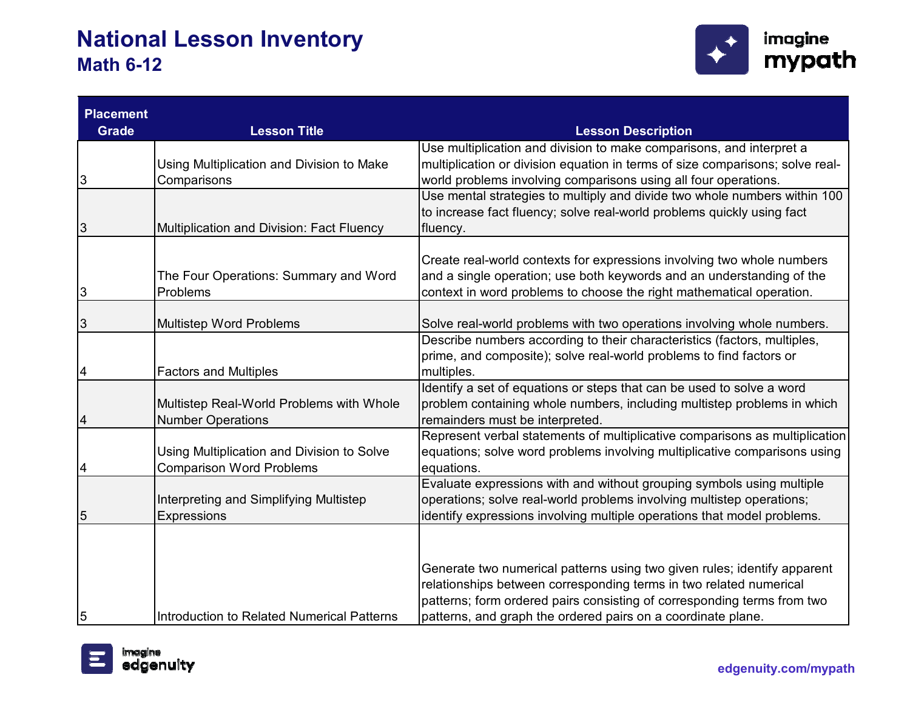

| <b>Placement</b> |                                                                               |                                                                                                                                                                                                                                                                                           |
|------------------|-------------------------------------------------------------------------------|-------------------------------------------------------------------------------------------------------------------------------------------------------------------------------------------------------------------------------------------------------------------------------------------|
| <b>Grade</b>     | <b>Lesson Title</b>                                                           | <b>Lesson Description</b>                                                                                                                                                                                                                                                                 |
| 3                | Using Multiplication and Division to Make<br>Comparisons                      | Use multiplication and division to make comparisons, and interpret a<br>multiplication or division equation in terms of size comparisons; solve real-<br>world problems involving comparisons using all four operations.                                                                  |
| 3                | Multiplication and Division: Fact Fluency                                     | Use mental strategies to multiply and divide two whole numbers within 100<br>to increase fact fluency; solve real-world problems quickly using fact<br>fluency.                                                                                                                           |
| 3                | The Four Operations: Summary and Word<br>Problems                             | Create real-world contexts for expressions involving two whole numbers<br>and a single operation; use both keywords and an understanding of the<br>context in word problems to choose the right mathematical operation.                                                                   |
| 3                | <b>Multistep Word Problems</b>                                                | Solve real-world problems with two operations involving whole numbers.                                                                                                                                                                                                                    |
| 4                | <b>Factors and Multiples</b>                                                  | Describe numbers according to their characteristics (factors, multiples,<br>prime, and composite); solve real-world problems to find factors or<br>multiples.                                                                                                                             |
| 4                | Multistep Real-World Problems with Whole<br><b>Number Operations</b>          | Identify a set of equations or steps that can be used to solve a word<br>problem containing whole numbers, including multistep problems in which<br>remainders must be interpreted.                                                                                                       |
| 4                | Using Multiplication and Division to Solve<br><b>Comparison Word Problems</b> | Represent verbal statements of multiplicative comparisons as multiplication<br>equations; solve word problems involving multiplicative comparisons using<br>equations.                                                                                                                    |
| 5                | Interpreting and Simplifying Multistep<br><b>Expressions</b>                  | Evaluate expressions with and without grouping symbols using multiple<br>operations; solve real-world problems involving multistep operations;<br>identify expressions involving multiple operations that model problems.                                                                 |
| 5                | Introduction to Related Numerical Patterns                                    | Generate two numerical patterns using two given rules; identify apparent<br>relationships between corresponding terms in two related numerical<br>patterns; form ordered pairs consisting of corresponding terms from two<br>patterns, and graph the ordered pairs on a coordinate plane. |

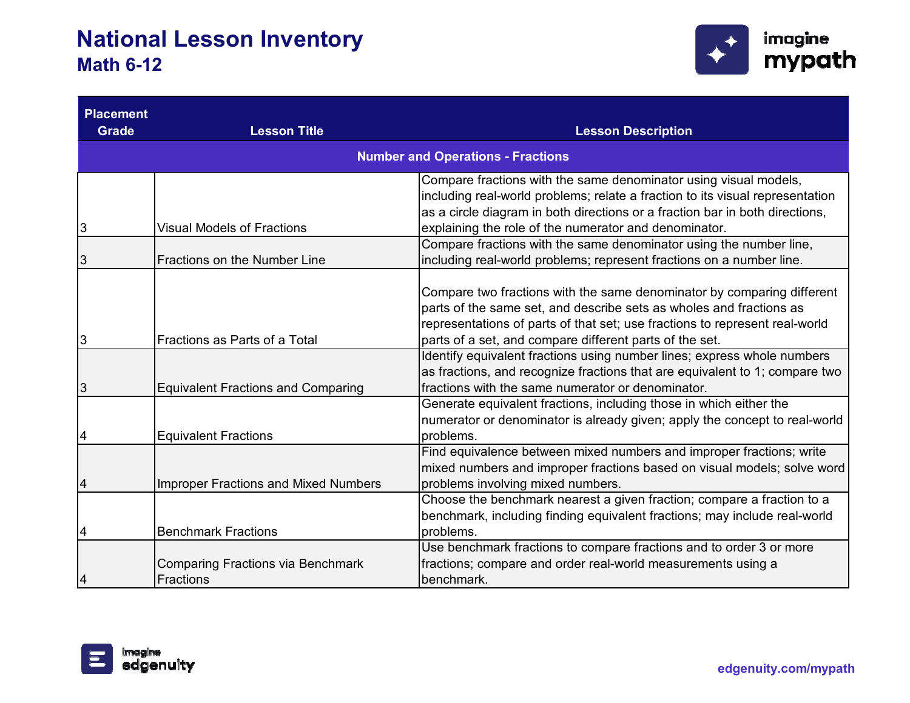

| <b>Placement</b> |                                             |                                                                               |
|------------------|---------------------------------------------|-------------------------------------------------------------------------------|
| <b>Grade</b>     | <b>Lesson Title</b>                         | <b>Lesson Description</b>                                                     |
|                  |                                             | <b>Number and Operations - Fractions</b>                                      |
|                  |                                             | Compare fractions with the same denominator using visual models,              |
|                  |                                             | including real-world problems; relate a fraction to its visual representation |
|                  |                                             | as a circle diagram in both directions or a fraction bar in both directions,  |
| 3                | <b>Visual Models of Fractions</b>           | explaining the role of the numerator and denominator.                         |
|                  |                                             | Compare fractions with the same denominator using the number line,            |
| 3                | <b>Fractions on the Number Line</b>         | including real-world problems; represent fractions on a number line.          |
|                  |                                             |                                                                               |
|                  |                                             | Compare two fractions with the same denominator by comparing different        |
|                  |                                             | parts of the same set, and describe sets as wholes and fractions as           |
|                  |                                             | representations of parts of that set; use fractions to represent real-world   |
| 3                | <b>Fractions as Parts of a Total</b>        | parts of a set, and compare different parts of the set.                       |
|                  |                                             | Identify equivalent fractions using number lines; express whole numbers       |
|                  |                                             | as fractions, and recognize fractions that are equivalent to 1; compare two   |
| 3                | <b>Equivalent Fractions and Comparing</b>   | fractions with the same numerator or denominator.                             |
|                  |                                             | Generate equivalent fractions, including those in which either the            |
|                  |                                             | numerator or denominator is already given; apply the concept to real-world    |
|                  | <b>Equivalent Fractions</b>                 | problems.                                                                     |
|                  |                                             | Find equivalence between mixed numbers and improper fractions; write          |
|                  |                                             | mixed numbers and improper fractions based on visual models; solve word       |
| 4                | <b>Improper Fractions and Mixed Numbers</b> | problems involving mixed numbers.                                             |
|                  |                                             | Choose the benchmark nearest a given fraction; compare a fraction to a        |
|                  |                                             | benchmark, including finding equivalent fractions; may include real-world     |
| 4                | <b>Benchmark Fractions</b>                  | problems.                                                                     |
|                  |                                             | Use benchmark fractions to compare fractions and to order 3 or more           |
|                  | <b>Comparing Fractions via Benchmark</b>    | fractions; compare and order real-world measurements using a                  |
| $\vert 4$        | <b>Fractions</b>                            | benchmark.                                                                    |

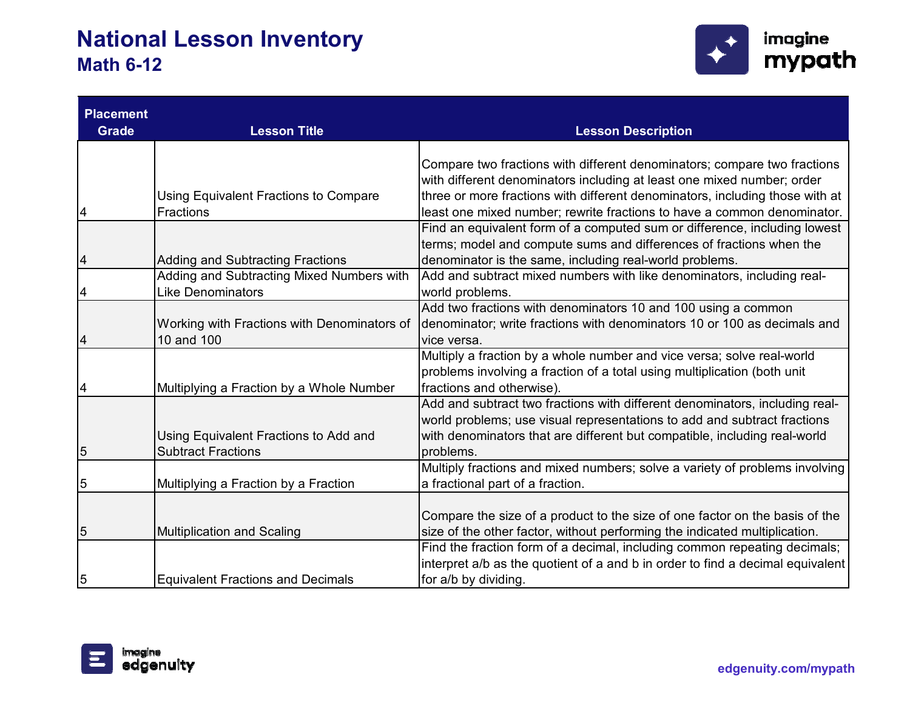

| <b>Placement</b> |                                                                       |                                                                                                                                                                                                                                                   |
|------------------|-----------------------------------------------------------------------|---------------------------------------------------------------------------------------------------------------------------------------------------------------------------------------------------------------------------------------------------|
| <b>Grade</b>     | <b>Lesson Title</b>                                                   | <b>Lesson Description</b>                                                                                                                                                                                                                         |
|                  | Using Equivalent Fractions to Compare                                 | Compare two fractions with different denominators; compare two fractions<br>with different denominators including at least one mixed number; order<br>three or more fractions with different denominators, including those with at                |
| 4                | <b>Fractions</b>                                                      | least one mixed number; rewrite fractions to have a common denominator.                                                                                                                                                                           |
| 4                | <b>Adding and Subtracting Fractions</b>                               | Find an equivalent form of a computed sum or difference, including lowest<br>terms; model and compute sums and differences of fractions when the<br>denominator is the same, including real-world problems.                                       |
| 4                | Adding and Subtracting Mixed Numbers with<br><b>Like Denominators</b> | Add and subtract mixed numbers with like denominators, including real-<br>world problems.                                                                                                                                                         |
| 4                | Working with Fractions with Denominators of<br>10 and 100             | Add two fractions with denominators 10 and 100 using a common<br>denominator; write fractions with denominators 10 or 100 as decimals and<br>vice versa.                                                                                          |
| 4                | Multiplying a Fraction by a Whole Number                              | Multiply a fraction by a whole number and vice versa; solve real-world<br>problems involving a fraction of a total using multiplication (both unit<br>fractions and otherwise).                                                                   |
| 5                | Using Equivalent Fractions to Add and<br><b>Subtract Fractions</b>    | Add and subtract two fractions with different denominators, including real-<br>world problems; use visual representations to add and subtract fractions<br>with denominators that are different but compatible, including real-world<br>problems. |
| 5                | Multiplying a Fraction by a Fraction                                  | Multiply fractions and mixed numbers; solve a variety of problems involving<br>a fractional part of a fraction.                                                                                                                                   |
| 5                | <b>Multiplication and Scaling</b>                                     | Compare the size of a product to the size of one factor on the basis of the<br>size of the other factor, without performing the indicated multiplication.                                                                                         |
| 5                | <b>Equivalent Fractions and Decimals</b>                              | Find the fraction form of a decimal, including common repeating decimals;<br>interpret a/b as the quotient of a and b in order to find a decimal equivalent<br>for a/b by dividing.                                                               |

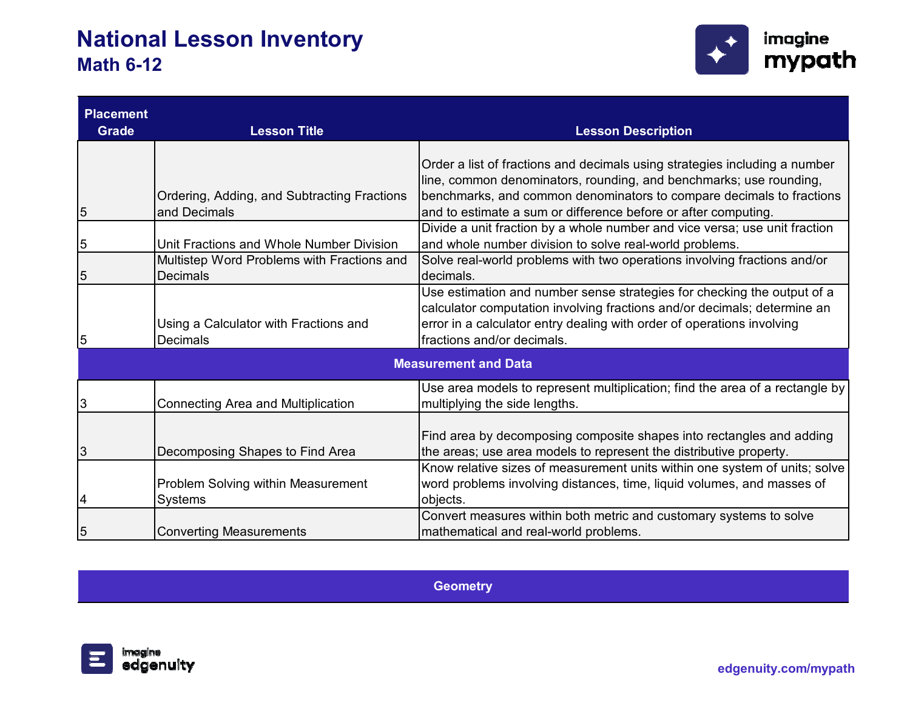

| <b>Placement</b> |                                             |                                                                              |
|------------------|---------------------------------------------|------------------------------------------------------------------------------|
| <b>Grade</b>     | <b>Lesson Title</b>                         | <b>Lesson Description</b>                                                    |
|                  |                                             |                                                                              |
|                  |                                             | Order a list of fractions and decimals using strategies including a number   |
|                  |                                             | line, common denominators, rounding, and benchmarks; use rounding,           |
|                  | Ordering, Adding, and Subtracting Fractions | benchmarks, and common denominators to compare decimals to fractions         |
| 5                | and Decimals                                | and to estimate a sum or difference before or after computing.               |
|                  |                                             | Divide a unit fraction by a whole number and vice versa; use unit fraction   |
| 5                | Unit Fractions and Whole Number Division    | and whole number division to solve real-world problems.                      |
|                  | Multistep Word Problems with Fractions and  | Solve real-world problems with two operations involving fractions and/or     |
| 5                | <b>Decimals</b>                             | decimals.                                                                    |
|                  |                                             | Use estimation and number sense strategies for checking the output of a      |
|                  |                                             | calculator computation involving fractions and/or decimals; determine an     |
|                  | Using a Calculator with Fractions and       | error in a calculator entry dealing with order of operations involving       |
| 5                | <b>Decimals</b>                             | fractions and/or decimals.                                                   |
|                  |                                             | <b>Measurement and Data</b>                                                  |
|                  |                                             | Use area models to represent multiplication; find the area of a rectangle by |
| 3                | Connecting Area and Multiplication          | multiplying the side lengths.                                                |
|                  |                                             |                                                                              |
|                  |                                             | Find area by decomposing composite shapes into rectangles and adding         |
| 3                | Decomposing Shapes to Find Area             | the areas; use area models to represent the distributive property.           |
|                  |                                             | Know relative sizes of measurement units within one system of units; solve   |
|                  | Problem Solving within Measurement          | word problems involving distances, time, liquid volumes, and masses of       |
| 4                | Systems                                     | objects.                                                                     |
|                  |                                             | Convert measures within both metric and customary systems to solve           |
| 5                | <b>Converting Measurements</b>              | mathematical and real-world problems.                                        |





**edgenuity.com/mypath**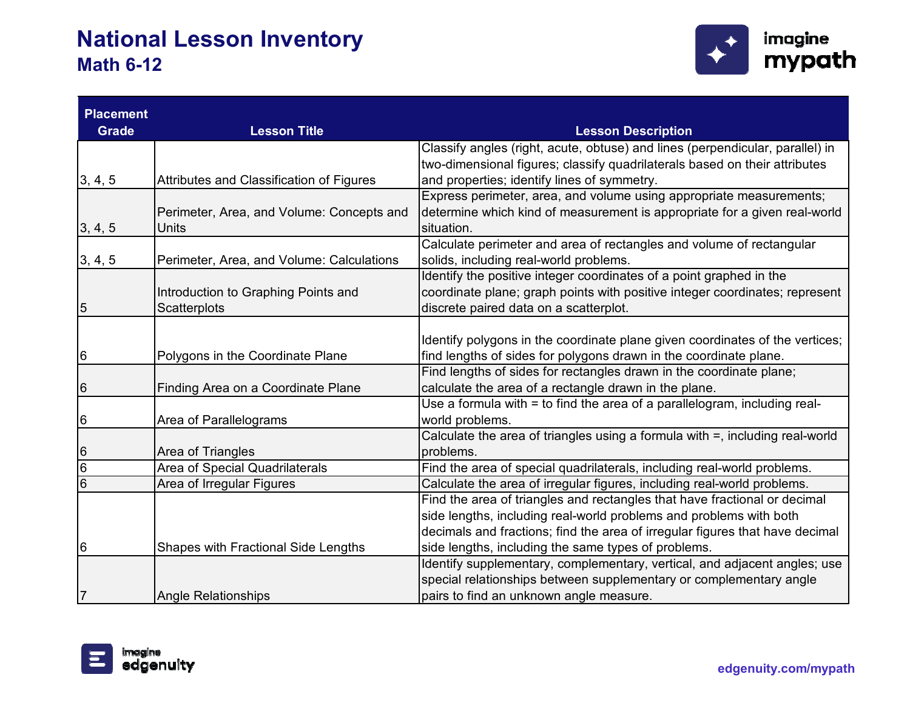

| <b>Placement</b> |                                           |                                                                                 |
|------------------|-------------------------------------------|---------------------------------------------------------------------------------|
| <b>Grade</b>     | <b>Lesson Title</b>                       | <b>Lesson Description</b>                                                       |
|                  |                                           | Classify angles (right, acute, obtuse) and lines (perpendicular, parallel) in   |
|                  |                                           | two-dimensional figures; classify quadrilaterals based on their attributes      |
| 3, 4, 5          | Attributes and Classification of Figures  | and properties; identify lines of symmetry.                                     |
|                  |                                           | Express perimeter, area, and volume using appropriate measurements;             |
|                  | Perimeter, Area, and Volume: Concepts and | determine which kind of measurement is appropriate for a given real-world       |
| 3, 4, 5          | Units                                     | situation.                                                                      |
|                  |                                           | Calculate perimeter and area of rectangles and volume of rectangular            |
| 3, 4, 5          | Perimeter, Area, and Volume: Calculations | solids, including real-world problems.                                          |
|                  |                                           | Identify the positive integer coordinates of a point graphed in the             |
|                  | Introduction to Graphing Points and       | coordinate plane; graph points with positive integer coordinates; represent     |
| 5                | Scatterplots                              | discrete paired data on a scatterplot.                                          |
|                  |                                           |                                                                                 |
|                  |                                           | Identify polygons in the coordinate plane given coordinates of the vertices;    |
| 6                | Polygons in the Coordinate Plane          | find lengths of sides for polygons drawn in the coordinate plane.               |
|                  |                                           | Find lengths of sides for rectangles drawn in the coordinate plane;             |
| $6\phantom{.}6$  | Finding Area on a Coordinate Plane        | calculate the area of a rectangle drawn in the plane.                           |
|                  |                                           | Use a formula with = to find the area of a parallelogram, including real-       |
| $\overline{6}$   | Area of Parallelograms                    | world problems.                                                                 |
|                  |                                           | Calculate the area of triangles using a formula with $=$ , including real-world |
| $\overline{6}$   | Area of Triangles                         | problems.                                                                       |
| $\overline{6}$   | Area of Special Quadrilaterals            | Find the area of special quadrilaterals, including real-world problems.         |
| $\overline{6}$   | Area of Irregular Figures                 | Calculate the area of irregular figures, including real-world problems.         |
|                  |                                           | Find the area of triangles and rectangles that have fractional or decimal       |
|                  |                                           | side lengths, including real-world problems and problems with both              |
|                  |                                           | decimals and fractions; find the area of irregular figures that have decimal    |
| $6\overline{6}$  | Shapes with Fractional Side Lengths       | side lengths, including the same types of problems.                             |
|                  |                                           | Identify supplementary, complementary, vertical, and adjacent angles; use       |
|                  |                                           | special relationships between supplementary or complementary angle              |
| $\overline{7}$   | <b>Angle Relationships</b>                | pairs to find an unknown angle measure.                                         |

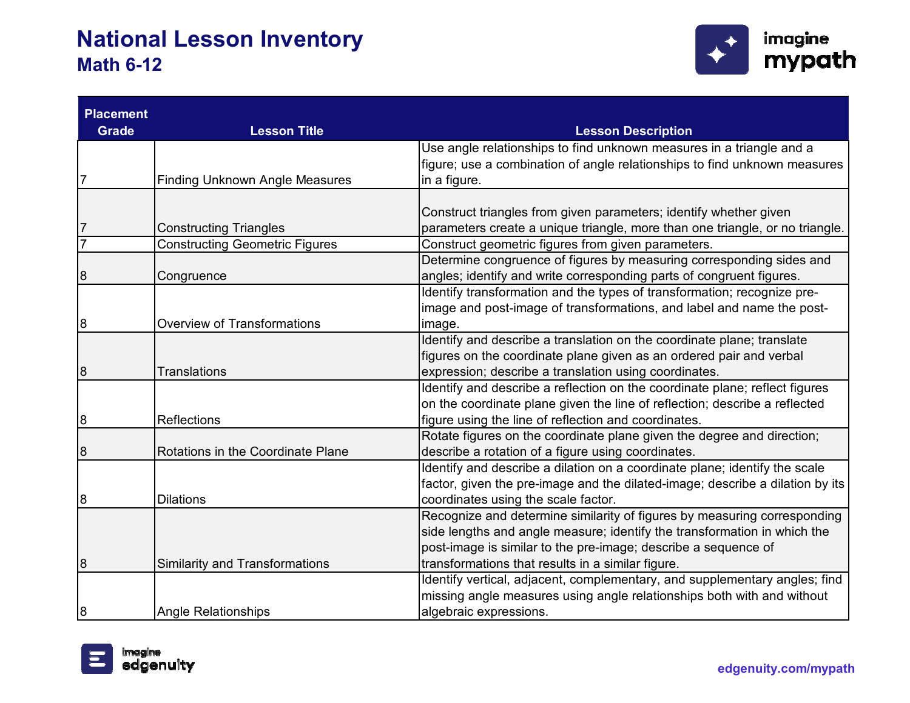

| <b>Placement</b> |                                       |                                                                               |
|------------------|---------------------------------------|-------------------------------------------------------------------------------|
| <b>Grade</b>     | <b>Lesson Title</b>                   | <b>Lesson Description</b>                                                     |
|                  |                                       | Use angle relationships to find unknown measures in a triangle and a          |
|                  |                                       | figure; use a combination of angle relationships to find unknown measures     |
| 7                | <b>Finding Unknown Angle Measures</b> | in a figure.                                                                  |
|                  |                                       |                                                                               |
|                  |                                       | Construct triangles from given parameters; identify whether given             |
| 7                | <b>Constructing Triangles</b>         | parameters create a unique triangle, more than one triangle, or no triangle.  |
| $\overline{7}$   | <b>Constructing Geometric Figures</b> | Construct geometric figures from given parameters.                            |
|                  |                                       | Determine congruence of figures by measuring corresponding sides and          |
| 8                | Congruence                            | angles; identify and write corresponding parts of congruent figures.          |
|                  |                                       | Identify transformation and the types of transformation; recognize pre-       |
|                  |                                       | image and post-image of transformations, and label and name the post-         |
| 8                | <b>Overview of Transformations</b>    | image.                                                                        |
|                  |                                       | Identify and describe a translation on the coordinate plane; translate        |
|                  |                                       | figures on the coordinate plane given as an ordered pair and verbal           |
| 8                | <b>Translations</b>                   | expression; describe a translation using coordinates.                         |
|                  |                                       | Identify and describe a reflection on the coordinate plane; reflect figures   |
|                  |                                       | on the coordinate plane given the line of reflection; describe a reflected    |
| 8                | Reflections                           | figure using the line of reflection and coordinates.                          |
|                  |                                       | Rotate figures on the coordinate plane given the degree and direction;        |
| 8                | Rotations in the Coordinate Plane     | describe a rotation of a figure using coordinates.                            |
|                  |                                       | Identify and describe a dilation on a coordinate plane; identify the scale    |
|                  |                                       | factor, given the pre-image and the dilated-image; describe a dilation by its |
| 8                | <b>Dilations</b>                      | coordinates using the scale factor.                                           |
|                  |                                       | Recognize and determine similarity of figures by measuring corresponding      |
|                  |                                       | side lengths and angle measure; identify the transformation in which the      |
|                  |                                       | post-image is similar to the pre-image; describe a sequence of                |
| 8                | <b>Similarity and Transformations</b> | transformations that results in a similar figure.                             |
|                  |                                       | Identify vertical, adjacent, complementary, and supplementary angles; find    |
|                  |                                       | missing angle measures using angle relationships both with and without        |
| 8                | <b>Angle Relationships</b>            | algebraic expressions.                                                        |

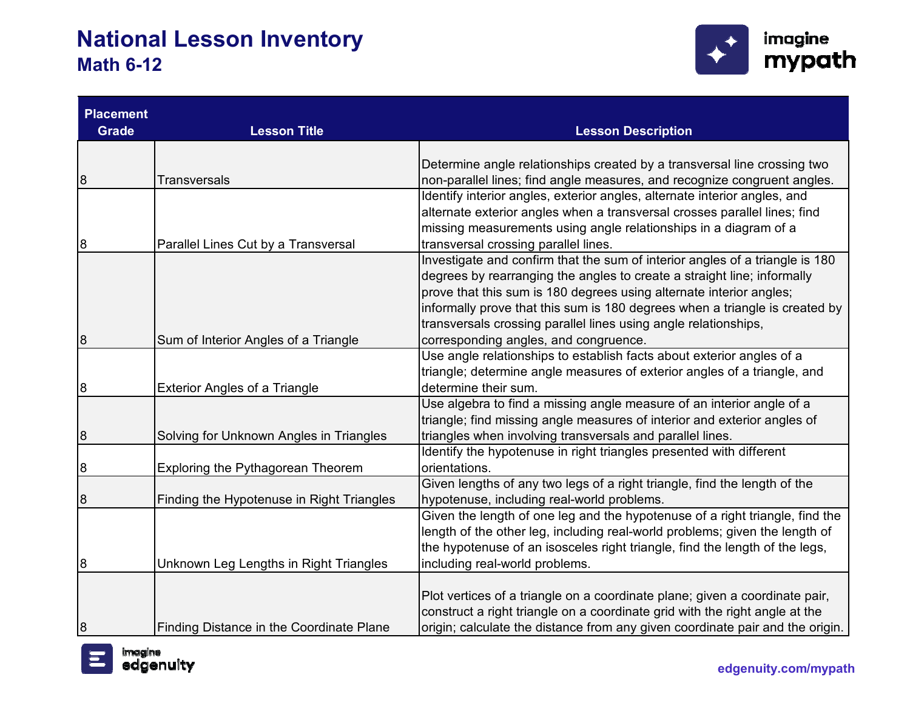

| <b>Placement</b> |                                           |                                                                                                                            |
|------------------|-------------------------------------------|----------------------------------------------------------------------------------------------------------------------------|
| <b>Grade</b>     | <b>Lesson Title</b>                       | <b>Lesson Description</b>                                                                                                  |
|                  |                                           |                                                                                                                            |
|                  |                                           | Determine angle relationships created by a transversal line crossing two                                                   |
| 8                | <b>Transversals</b>                       | non-parallel lines; find angle measures, and recognize congruent angles.                                                   |
|                  |                                           | Identify interior angles, exterior angles, alternate interior angles, and                                                  |
|                  |                                           | alternate exterior angles when a transversal crosses parallel lines; find                                                  |
|                  |                                           | missing measurements using angle relationships in a diagram of a                                                           |
| 8                | Parallel Lines Cut by a Transversal       | transversal crossing parallel lines.                                                                                       |
|                  |                                           | Investigate and confirm that the sum of interior angles of a triangle is 180                                               |
|                  |                                           | degrees by rearranging the angles to create a straight line; informally                                                    |
|                  |                                           | prove that this sum is 180 degrees using alternate interior angles;                                                        |
|                  |                                           | informally prove that this sum is 180 degrees when a triangle is created by                                                |
|                  |                                           | transversals crossing parallel lines using angle relationships,                                                            |
| 8                | Sum of Interior Angles of a Triangle      | corresponding angles, and congruence.                                                                                      |
|                  |                                           | Use angle relationships to establish facts about exterior angles of a                                                      |
|                  |                                           | triangle; determine angle measures of exterior angles of a triangle, and                                                   |
| 8                | <b>Exterior Angles of a Triangle</b>      | determine their sum.                                                                                                       |
|                  |                                           | Use algebra to find a missing angle measure of an interior angle of a                                                      |
|                  |                                           | triangle; find missing angle measures of interior and exterior angles of                                                   |
| 8                | Solving for Unknown Angles in Triangles   | triangles when involving transversals and parallel lines.                                                                  |
|                  |                                           | Identify the hypotenuse in right triangles presented with different                                                        |
| 8                | Exploring the Pythagorean Theorem         | orientations.                                                                                                              |
|                  |                                           | Given lengths of any two legs of a right triangle, find the length of the                                                  |
| 8                | Finding the Hypotenuse in Right Triangles | hypotenuse, including real-world problems.<br>Given the length of one leg and the hypotenuse of a right triangle, find the |
|                  |                                           | length of the other leg, including real-world problems; given the length of                                                |
|                  |                                           |                                                                                                                            |
|                  |                                           | the hypotenuse of an isosceles right triangle, find the length of the legs,                                                |
| 8                | Unknown Leg Lengths in Right Triangles    | including real-world problems.                                                                                             |
|                  |                                           | Plot vertices of a triangle on a coordinate plane; given a coordinate pair,                                                |
|                  |                                           | construct a right triangle on a coordinate grid with the right angle at the                                                |
| 8                | Finding Distance in the Coordinate Plane  | origin; calculate the distance from any given coordinate pair and the origin.                                              |
|                  |                                           |                                                                                                                            |

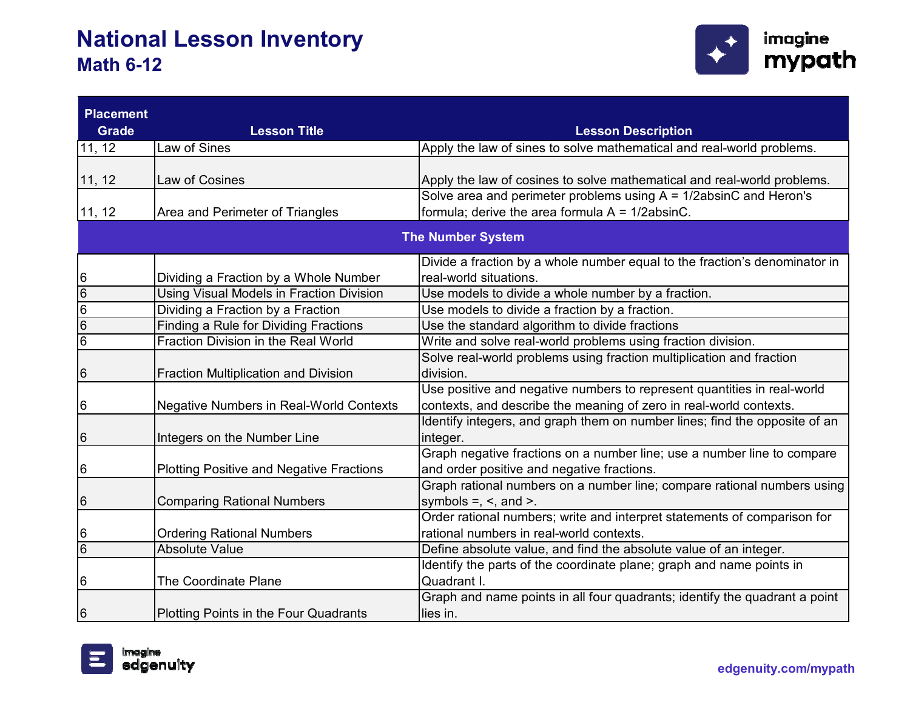

| <b>Placement</b> |                                                 |                                                                            |
|------------------|-------------------------------------------------|----------------------------------------------------------------------------|
| <b>Grade</b>     | <b>Lesson Title</b>                             | <b>Lesson Description</b>                                                  |
| 11, 12           | <b>Law of Sines</b>                             | Apply the law of sines to solve mathematical and real-world problems.      |
|                  |                                                 |                                                                            |
| 11, 12           | Law of Cosines                                  | Apply the law of cosines to solve mathematical and real-world problems.    |
|                  |                                                 | Solve area and perimeter problems using $A = 1/2$ absinC and Heron's       |
| 11, 12           | Area and Perimeter of Triangles                 | formula; derive the area formula $A = 1/2$ absinC.                         |
|                  |                                                 | <b>The Number System</b>                                                   |
|                  |                                                 | Divide a fraction by a whole number equal to the fraction's denominator in |
| $\overline{6}$   | Dividing a Fraction by a Whole Number           | real-world situations.                                                     |
| $\overline{6}$   | Using Visual Models in Fraction Division        | Use models to divide a whole number by a fraction.                         |
| $\frac{1}{10}$   | Dividing a Fraction by a Fraction               | Use models to divide a fraction by a fraction.                             |
|                  | Finding a Rule for Dividing Fractions           | Use the standard algorithm to divide fractions                             |
|                  | Fraction Division in the Real World             | Write and solve real-world problems using fraction division.               |
|                  |                                                 | Solve real-world problems using fraction multiplication and fraction       |
| $\overline{6}$   | <b>Fraction Multiplication and Division</b>     | division.                                                                  |
|                  |                                                 | Use positive and negative numbers to represent quantities in real-world    |
| 6                | Negative Numbers in Real-World Contexts         | contexts, and describe the meaning of zero in real-world contexts.         |
|                  |                                                 | Identify integers, and graph them on number lines; find the opposite of an |
| $\overline{6}$   | Integers on the Number Line                     | integer.                                                                   |
|                  |                                                 | Graph negative fractions on a number line; use a number line to compare    |
| $\vert 6$        | <b>Plotting Positive and Negative Fractions</b> | and order positive and negative fractions.                                 |
|                  |                                                 | Graph rational numbers on a number line; compare rational numbers using    |
| $\boldsymbol{6}$ | <b>Comparing Rational Numbers</b>               | symbols $=$ , $\le$ , and $\ge$ .                                          |
|                  |                                                 | Order rational numbers; write and interpret statements of comparison for   |
| 6                | <b>Ordering Rational Numbers</b>                | rational numbers in real-world contexts.                                   |
| $\overline{6}$   | <b>Absolute Value</b>                           | Define absolute value, and find the absolute value of an integer.          |
|                  |                                                 | Identify the parts of the coordinate plane; graph and name points in       |
| $\overline{6}$   | <b>The Coordinate Plane</b>                     | Quadrant I.                                                                |
|                  |                                                 | Graph and name points in all four quadrants; identify the quadrant a point |
| $\overline{6}$   | Plotting Points in the Four Quadrants           | lies in.                                                                   |

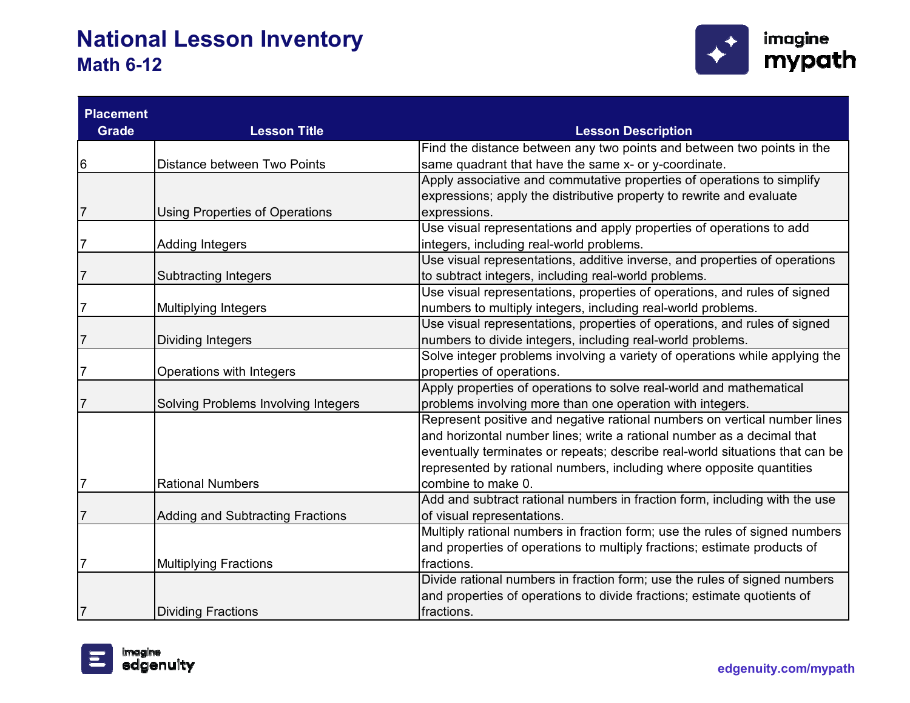

| <b>Placement</b> |                                         |                                                                              |
|------------------|-----------------------------------------|------------------------------------------------------------------------------|
| <b>Grade</b>     | <b>Lesson Title</b>                     | <b>Lesson Description</b>                                                    |
|                  |                                         | Find the distance between any two points and between two points in the       |
| 6                | Distance between Two Points             | same quadrant that have the same x- or y-coordinate.                         |
|                  |                                         | Apply associative and commutative properties of operations to simplify       |
|                  |                                         | expressions; apply the distributive property to rewrite and evaluate         |
| $\overline{7}$   | <b>Using Properties of Operations</b>   | expressions.                                                                 |
|                  |                                         | Use visual representations and apply properties of operations to add         |
| 7                | <b>Adding Integers</b>                  | integers, including real-world problems.                                     |
|                  |                                         | Use visual representations, additive inverse, and properties of operations   |
| $\overline{7}$   | <b>Subtracting Integers</b>             | to subtract integers, including real-world problems.                         |
|                  |                                         | Use visual representations, properties of operations, and rules of signed    |
| 7                | <b>Multiplying Integers</b>             | numbers to multiply integers, including real-world problems.                 |
|                  |                                         | Use visual representations, properties of operations, and rules of signed    |
| $\overline{7}$   | <b>Dividing Integers</b>                | numbers to divide integers, including real-world problems.                   |
|                  |                                         | Solve integer problems involving a variety of operations while applying the  |
| 7                | Operations with Integers                | properties of operations.                                                    |
|                  |                                         | Apply properties of operations to solve real-world and mathematical          |
|                  | Solving Problems Involving Integers     | problems involving more than one operation with integers.                    |
|                  |                                         | Represent positive and negative rational numbers on vertical number lines    |
|                  |                                         | and horizontal number lines; write a rational number as a decimal that       |
|                  |                                         | eventually terminates or repeats; describe real-world situations that can be |
|                  |                                         | represented by rational numbers, including where opposite quantities         |
| 7                | <b>Rational Numbers</b>                 | combine to make 0.                                                           |
|                  |                                         | Add and subtract rational numbers in fraction form, including with the use   |
| 7                | <b>Adding and Subtracting Fractions</b> | of visual representations.                                                   |
|                  |                                         | Multiply rational numbers in fraction form; use the rules of signed numbers  |
|                  |                                         | and properties of operations to multiply fractions; estimate products of     |
| 7                | <b>Multiplying Fractions</b>            | fractions.                                                                   |
|                  |                                         | Divide rational numbers in fraction form; use the rules of signed numbers    |
|                  |                                         | and properties of operations to divide fractions; estimate quotients of      |
| $\overline{7}$   | <b>Dividing Fractions</b>               | fractions.                                                                   |

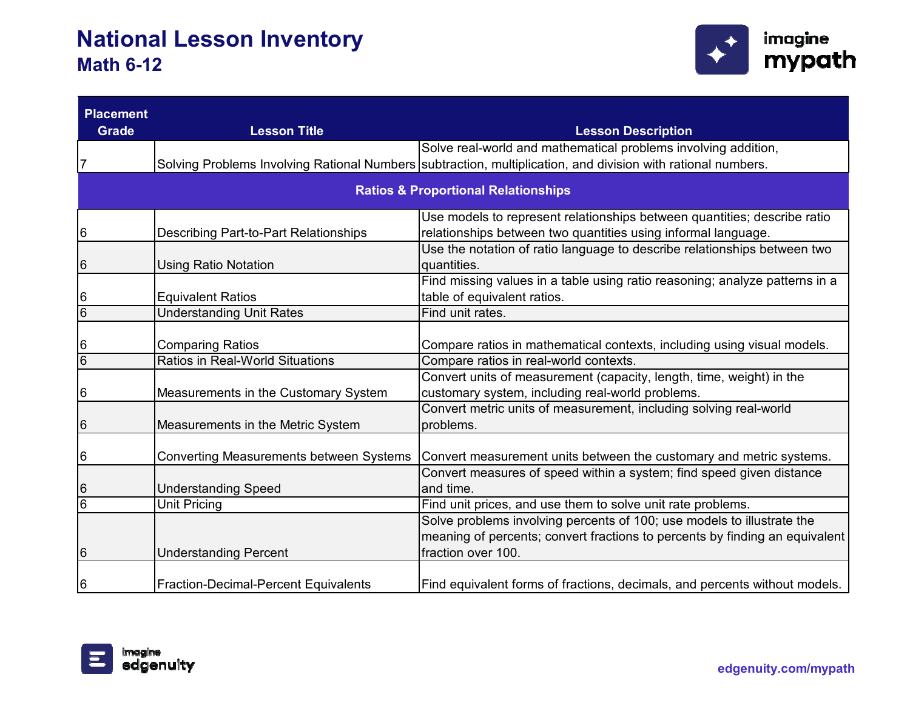

| <b>Placement</b><br><b>Grade</b> | <b>Lesson Title</b>                            | <b>Lesson Description</b>                                                                                    |
|----------------------------------|------------------------------------------------|--------------------------------------------------------------------------------------------------------------|
|                                  |                                                | Solve real-world and mathematical problems involving addition,                                               |
| 7                                |                                                | Solving Problems Involving Rational Numbers subtraction, multiplication, and division with rational numbers. |
|                                  |                                                | <b>Ratios &amp; Proportional Relationships</b>                                                               |
|                                  |                                                | Use models to represent relationships between quantities; describe ratio                                     |
| 6                                | Describing Part-to-Part Relationships          | relationships between two quantities using informal language.                                                |
| 6                                | <b>Using Ratio Notation</b>                    | Use the notation of ratio language to describe relationships between two<br>quantities.                      |
|                                  |                                                | Find missing values in a table using ratio reasoning; analyze patterns in a                                  |
| 6                                | <b>Equivalent Ratios</b>                       | table of equivalent ratios.                                                                                  |
| $\overline{6}$                   | <b>Understanding Unit Rates</b>                | Find unit rates.                                                                                             |
|                                  |                                                |                                                                                                              |
| 6                                | <b>Comparing Ratios</b>                        | Compare ratios in mathematical contexts, including using visual models.                                      |
| 6                                | Ratios in Real-World Situations                | Compare ratios in real-world contexts.                                                                       |
|                                  |                                                | Convert units of measurement (capacity, length, time, weight) in the                                         |
| 6                                | Measurements in the Customary System           | customary system, including real-world problems.                                                             |
|                                  |                                                | Convert metric units of measurement, including solving real-world                                            |
| 6                                | Measurements in the Metric System              | problems.                                                                                                    |
|                                  |                                                |                                                                                                              |
| 6                                | <b>Converting Measurements between Systems</b> | Convert measurement units between the customary and metric systems.                                          |
|                                  |                                                | Convert measures of speed within a system; find speed given distance                                         |
| 6                                | <b>Understanding Speed</b>                     | and time.                                                                                                    |
| 6                                | Unit Pricing                                   | Find unit prices, and use them to solve unit rate problems.                                                  |
|                                  |                                                | Solve problems involving percents of 100; use models to illustrate the                                       |
|                                  |                                                | meaning of percents; convert fractions to percents by finding an equivalent                                  |
| 6                                | <b>Understanding Percent</b>                   | fraction over 100.                                                                                           |
| 6                                | <b>Fraction-Decimal-Percent Equivalents</b>    | Find equivalent forms of fractions, decimals, and percents without models.                                   |

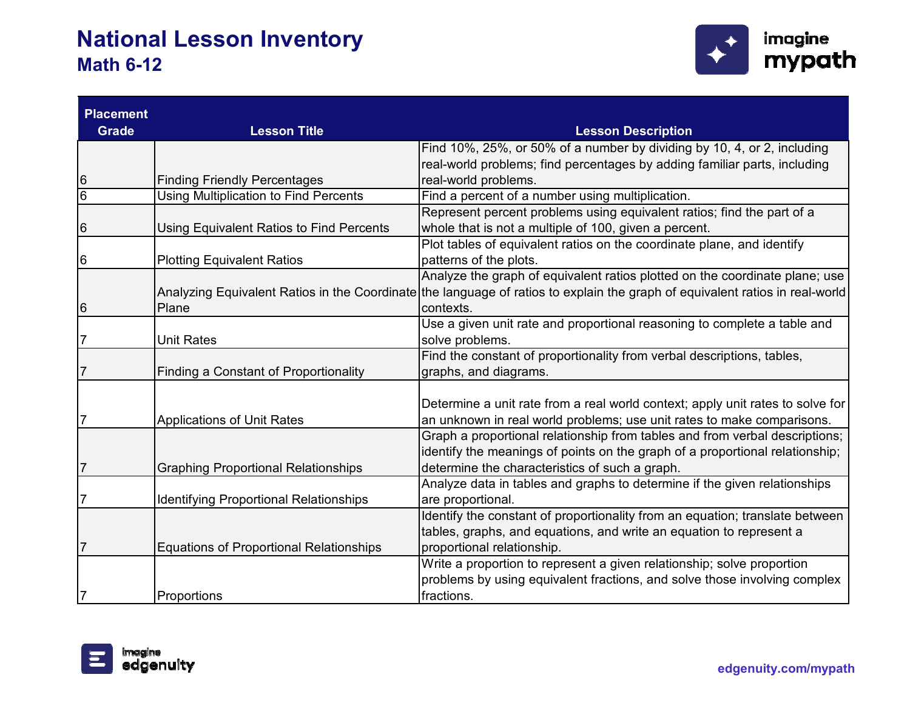

| <b>Placement</b> |                                                |                                                                                                                              |
|------------------|------------------------------------------------|------------------------------------------------------------------------------------------------------------------------------|
| <b>Grade</b>     | <b>Lesson Title</b>                            | <b>Lesson Description</b>                                                                                                    |
|                  |                                                | Find 10%, 25%, or 50% of a number by dividing by 10, 4, or 2, including                                                      |
|                  |                                                | real-world problems; find percentages by adding familiar parts, including                                                    |
| $6\phantom{.}6$  | <b>Finding Friendly Percentages</b>            | real-world problems.                                                                                                         |
| $\overline{6}$   | Using Multiplication to Find Percents          | Find a percent of a number using multiplication.                                                                             |
|                  |                                                | Represent percent problems using equivalent ratios; find the part of a                                                       |
| $6\phantom{.}6$  | Using Equivalent Ratios to Find Percents       | whole that is not a multiple of 100, given a percent.                                                                        |
|                  |                                                | Plot tables of equivalent ratios on the coordinate plane, and identify                                                       |
| $6\overline{6}$  | <b>Plotting Equivalent Ratios</b>              | patterns of the plots.                                                                                                       |
|                  |                                                | Analyze the graph of equivalent ratios plotted on the coordinate plane; use                                                  |
|                  |                                                | Analyzing Equivalent Ratios in the Coordinate the language of ratios to explain the graph of equivalent ratios in real-world |
| $6\phantom{1}6$  | Plane                                          | contexts.                                                                                                                    |
|                  |                                                | Use a given unit rate and proportional reasoning to complete a table and                                                     |
| $\overline{7}$   | <b>Unit Rates</b>                              | solve problems.                                                                                                              |
|                  |                                                | Find the constant of proportionality from verbal descriptions, tables,                                                       |
| 7                | <b>Finding a Constant of Proportionality</b>   | graphs, and diagrams.                                                                                                        |
|                  |                                                |                                                                                                                              |
|                  |                                                | Determine a unit rate from a real world context; apply unit rates to solve for                                               |
| 7                | <b>Applications of Unit Rates</b>              | an unknown in real world problems; use unit rates to make comparisons.                                                       |
|                  |                                                | Graph a proportional relationship from tables and from verbal descriptions;                                                  |
|                  |                                                | identify the meanings of points on the graph of a proportional relationship;                                                 |
| $\overline{7}$   | <b>Graphing Proportional Relationships</b>     | determine the characteristics of such a graph.                                                                               |
|                  |                                                | Analyze data in tables and graphs to determine if the given relationships                                                    |
|                  | <b>Identifying Proportional Relationships</b>  | are proportional.                                                                                                            |
|                  |                                                | Identify the constant of proportionality from an equation; translate between                                                 |
|                  |                                                | tables, graphs, and equations, and write an equation to represent a                                                          |
| $\overline{7}$   | <b>Equations of Proportional Relationships</b> | proportional relationship.                                                                                                   |
|                  |                                                | Write a proportion to represent a given relationship; solve proportion                                                       |
|                  |                                                | problems by using equivalent fractions, and solve those involving complex                                                    |
| $\overline{7}$   | Proportions                                    | fractions.                                                                                                                   |

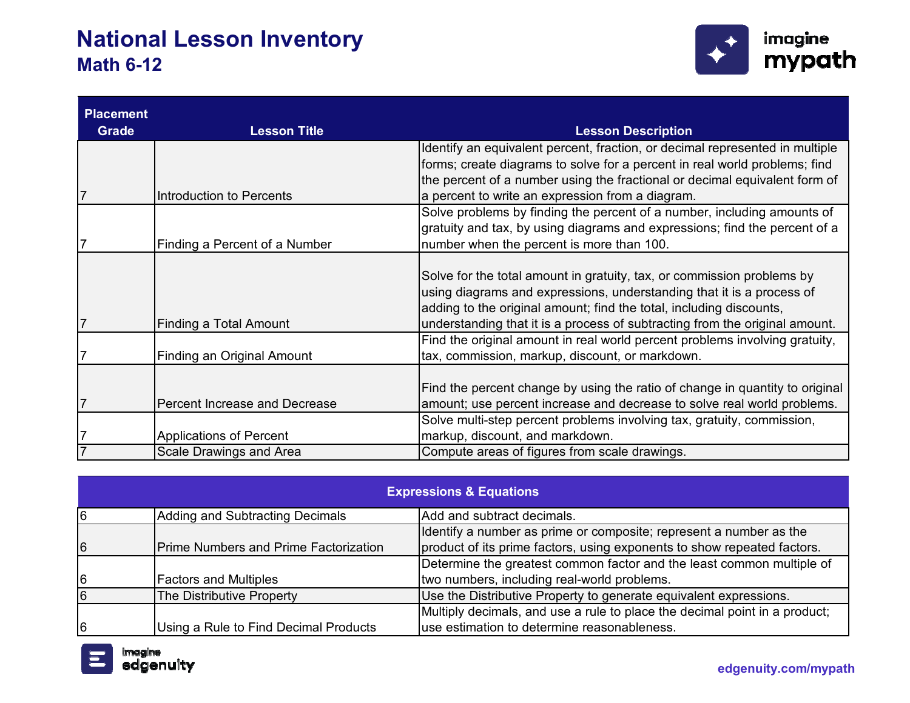

| <b>Placement</b> |                                 |                                                                                                                                                          |
|------------------|---------------------------------|----------------------------------------------------------------------------------------------------------------------------------------------------------|
| Grade            | <b>Lesson Title</b>             | <b>Lesson Description</b>                                                                                                                                |
|                  |                                 | Identify an equivalent percent, fraction, or decimal represented in multiple                                                                             |
|                  |                                 | forms; create diagrams to solve for a percent in real world problems; find<br>the percent of a number using the fractional or decimal equivalent form of |
|                  | <b>Introduction to Percents</b> | a percent to write an expression from a diagram.                                                                                                         |
|                  |                                 | Solve problems by finding the percent of a number, including amounts of                                                                                  |
|                  | Finding a Percent of a Number   | gratuity and tax, by using diagrams and expressions; find the percent of a<br>number when the percent is more than 100.                                  |
|                  |                                 |                                                                                                                                                          |
|                  |                                 | Solve for the total amount in gratuity, tax, or commission problems by                                                                                   |
|                  |                                 | using diagrams and expressions, understanding that it is a process of                                                                                    |
|                  |                                 | adding to the original amount; find the total, including discounts,                                                                                      |
|                  | Finding a Total Amount          | understanding that it is a process of subtracting from the original amount.                                                                              |
|                  |                                 | Find the original amount in real world percent problems involving gratuity,                                                                              |
|                  | Finding an Original Amount      | tax, commission, markup, discount, or markdown.                                                                                                          |
|                  |                                 | Find the percent change by using the ratio of change in quantity to original                                                                             |
|                  | Percent Increase and Decrease   | amount; use percent increase and decrease to solve real world problems.                                                                                  |
|                  |                                 | Solve multi-step percent problems involving tax, gratuity, commission,                                                                                   |
|                  | <b>Applications of Percent</b>  | markup, discount, and markdown.                                                                                                                          |
|                  | Scale Drawings and Area         | Compute areas of figures from scale drawings.                                                                                                            |

| <b>Expressions &amp; Equations</b> |                                              |                                                                            |
|------------------------------------|----------------------------------------------|----------------------------------------------------------------------------|
|                                    | Adding and Subtracting Decimals              | Add and subtract decimals.                                                 |
|                                    |                                              | Identify a number as prime or composite; represent a number as the         |
| 6                                  | <b>Prime Numbers and Prime Factorization</b> | product of its prime factors, using exponents to show repeated factors.    |
|                                    |                                              | Determine the greatest common factor and the least common multiple of      |
| 6                                  | <b>Factors and Multiples</b>                 | two numbers, including real-world problems.                                |
| 6                                  | The Distributive Property                    | Use the Distributive Property to generate equivalent expressions.          |
|                                    |                                              | Multiply decimals, and use a rule to place the decimal point in a product; |
| 6                                  | Using a Rule to Find Decimal Products        | use estimation to determine reasonableness.                                |

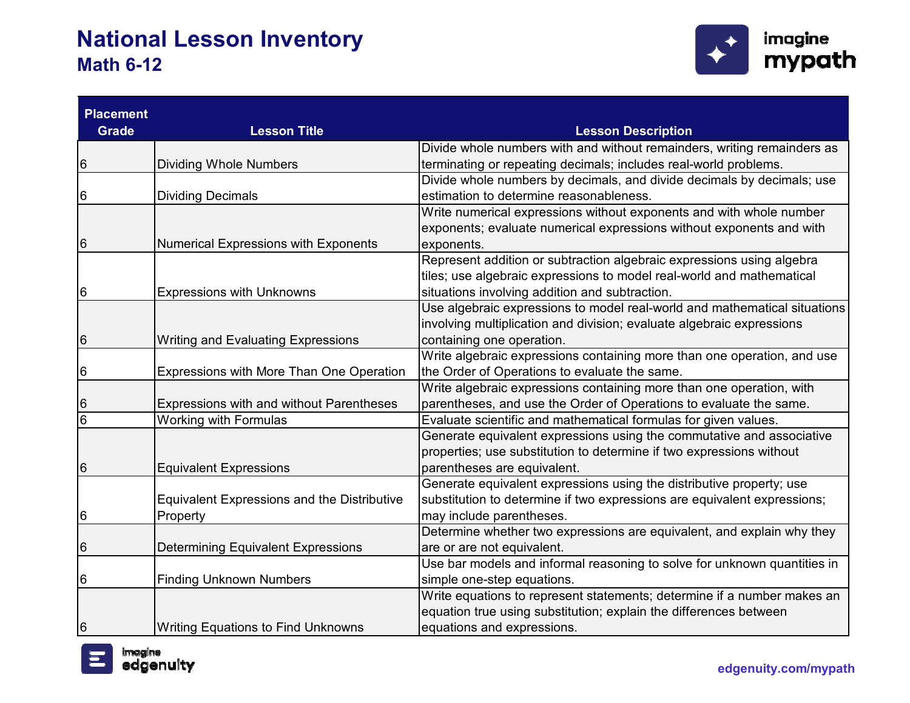

| <b>Placement</b> |                                                    |                                                                           |
|------------------|----------------------------------------------------|---------------------------------------------------------------------------|
| <b>Grade</b>     | <b>Lesson Title</b>                                | <b>Lesson Description</b>                                                 |
|                  |                                                    | Divide whole numbers with and without remainders, writing remainders as   |
| 6                | <b>Dividing Whole Numbers</b>                      | terminating or repeating decimals; includes real-world problems.          |
|                  |                                                    | Divide whole numbers by decimals, and divide decimals by decimals; use    |
| 6                | <b>Dividing Decimals</b>                           | estimation to determine reasonableness.                                   |
|                  |                                                    | Write numerical expressions without exponents and with whole number       |
|                  |                                                    | exponents; evaluate numerical expressions without exponents and with      |
| 6                | Numerical Expressions with Exponents               | exponents.                                                                |
|                  |                                                    | Represent addition or subtraction algebraic expressions using algebra     |
|                  |                                                    | tiles; use algebraic expressions to model real-world and mathematical     |
| 6                | <b>Expressions with Unknowns</b>                   | situations involving addition and subtraction.                            |
|                  |                                                    | Use algebraic expressions to model real-world and mathematical situations |
|                  |                                                    | involving multiplication and division; evaluate algebraic expressions     |
| 6                | <b>Writing and Evaluating Expressions</b>          | containing one operation.                                                 |
|                  |                                                    | Write algebraic expressions containing more than one operation, and use   |
| 6                | Expressions with More Than One Operation           | the Order of Operations to evaluate the same.                             |
|                  |                                                    | Write algebraic expressions containing more than one operation, with      |
| 6                | Expressions with and without Parentheses           | parentheses, and use the Order of Operations to evaluate the same.        |
| 6                | <b>Working with Formulas</b>                       | Evaluate scientific and mathematical formulas for given values.           |
|                  |                                                    | Generate equivalent expressions using the commutative and associative     |
|                  |                                                    | properties; use substitution to determine if two expressions without      |
| 6                | <b>Equivalent Expressions</b>                      | parentheses are equivalent.                                               |
|                  |                                                    | Generate equivalent expressions using the distributive property; use      |
|                  | <b>Equivalent Expressions and the Distributive</b> | substitution to determine if two expressions are equivalent expressions;  |
| 6                | Property                                           | may include parentheses.                                                  |
|                  |                                                    | Determine whether two expressions are equivalent, and explain why they    |
| 6                | <b>Determining Equivalent Expressions</b>          | are or are not equivalent.                                                |
|                  |                                                    | Use bar models and informal reasoning to solve for unknown quantities in  |
| 6                | <b>Finding Unknown Numbers</b>                     | simple one-step equations.                                                |
|                  |                                                    | Write equations to represent statements; determine if a number makes an   |
|                  |                                                    | equation true using substitution; explain the differences between         |
| 6                | <b>Writing Equations to Find Unknowns</b>          | equations and expressions.                                                |

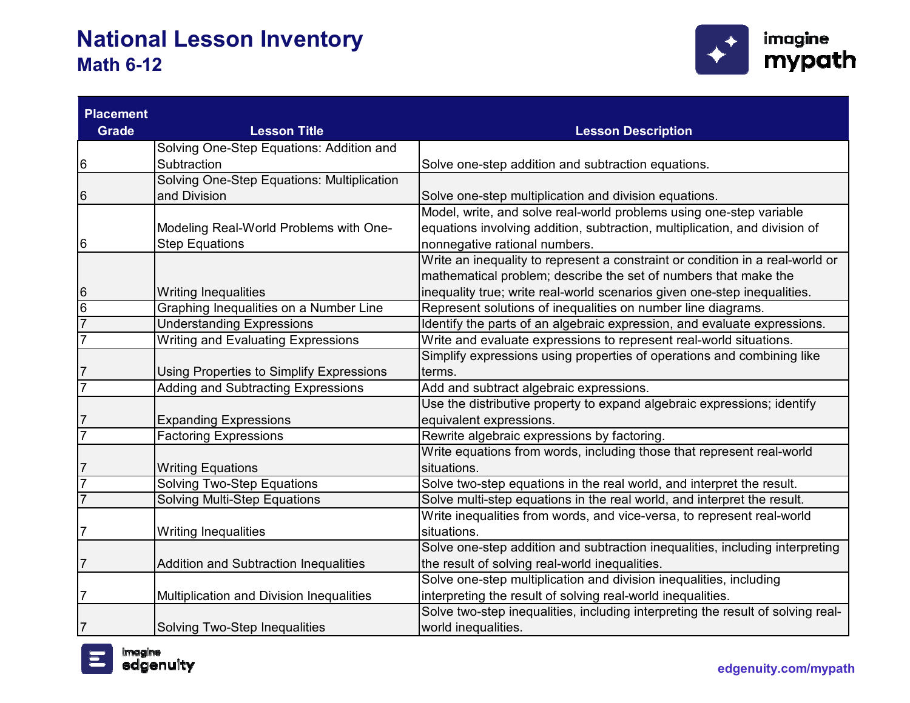

| <b>Placement</b>            |                                            |                                                                                 |
|-----------------------------|--------------------------------------------|---------------------------------------------------------------------------------|
| <b>Grade</b>                | <b>Lesson Title</b>                        | <b>Lesson Description</b>                                                       |
|                             | Solving One-Step Equations: Addition and   |                                                                                 |
| 6                           | Subtraction                                | Solve one-step addition and subtraction equations.                              |
|                             | Solving One-Step Equations: Multiplication |                                                                                 |
| $\,6$                       | and Division                               | Solve one-step multiplication and division equations.                           |
|                             |                                            | Model, write, and solve real-world problems using one-step variable             |
|                             | Modeling Real-World Problems with One-     | equations involving addition, subtraction, multiplication, and division of      |
| 6                           | <b>Step Equations</b>                      | nonnegative rational numbers.                                                   |
|                             |                                            | Write an inequality to represent a constraint or condition in a real-world or   |
|                             |                                            | mathematical problem; describe the set of numbers that make the                 |
|                             | <b>Writing Inequalities</b>                | inequality true; write real-world scenarios given one-step inequalities.        |
| $\frac{6}{6}$ $\frac{7}{7}$ | Graphing Inequalities on a Number Line     | Represent solutions of inequalities on number line diagrams.                    |
|                             | <b>Understanding Expressions</b>           | Identify the parts of an algebraic expression, and evaluate expressions.        |
|                             | <b>Writing and Evaluating Expressions</b>  | Write and evaluate expressions to represent real-world situations.              |
|                             |                                            | Simplify expressions using properties of operations and combining like          |
| $\frac{7}{7}$               | Using Properties to Simplify Expressions   | terms.                                                                          |
|                             | <b>Adding and Subtracting Expressions</b>  | Add and subtract algebraic expressions.                                         |
|                             |                                            | Use the distributive property to expand algebraic expressions; identify         |
| $\frac{7}{7}$               | <b>Expanding Expressions</b>               | equivalent expressions.                                                         |
|                             | <b>Factoring Expressions</b>               | Rewrite algebraic expressions by factoring.                                     |
|                             |                                            | Write equations from words, including those that represent real-world           |
|                             | <b>Writing Equations</b>                   | situations.                                                                     |
| $\frac{7}{7}$               | <b>Solving Two-Step Equations</b>          | Solve two-step equations in the real world, and interpret the result.           |
|                             | <b>Solving Multi-Step Equations</b>        | Solve multi-step equations in the real world, and interpret the result.         |
|                             |                                            | Write inequalities from words, and vice-versa, to represent real-world          |
| $\frac{7}{2}$               | <b>Writing Inequalities</b>                | situations.                                                                     |
|                             |                                            | Solve one-step addition and subtraction inequalities, including interpreting    |
| $\overline{7}$              | Addition and Subtraction Inequalities      | the result of solving real-world inequalities.                                  |
|                             |                                            | Solve one-step multiplication and division inequalities, including              |
| $\frac{7}{2}$               | Multiplication and Division Inequalities   | interpreting the result of solving real-world inequalities.                     |
|                             |                                            | Solve two-step inequalities, including interpreting the result of solving real- |
| $\overline{7}$              | Solving Two-Step Inequalities              | world inequalities.                                                             |

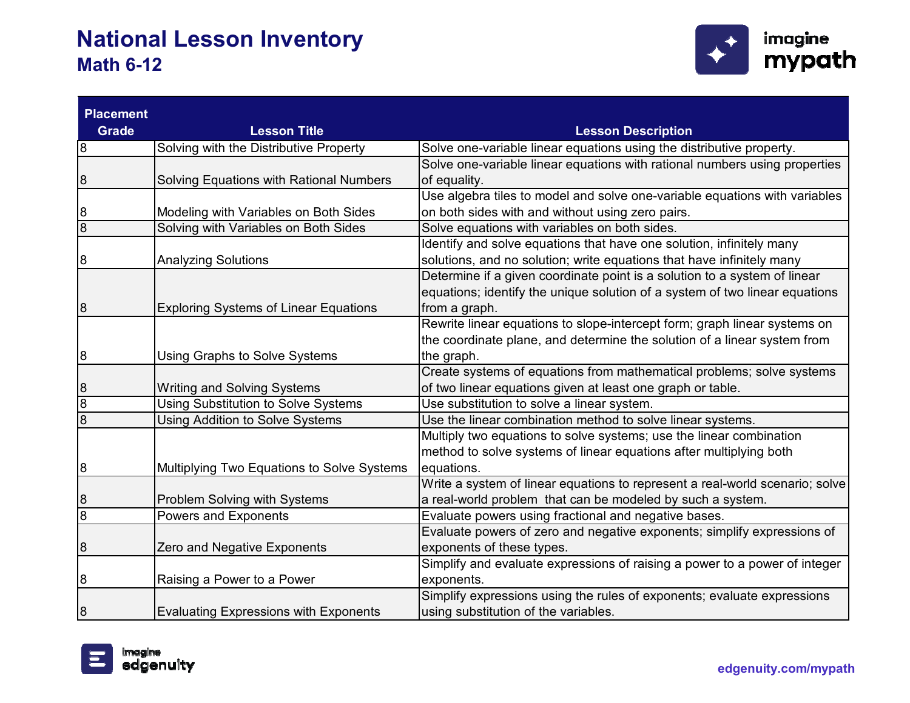

| <b>Placement</b> |                                              |                                                                              |
|------------------|----------------------------------------------|------------------------------------------------------------------------------|
| <b>Grade</b>     | <b>Lesson Title</b>                          | <b>Lesson Description</b>                                                    |
| 8                | Solving with the Distributive Property       | Solve one-variable linear equations using the distributive property.         |
|                  |                                              | Solve one-variable linear equations with rational numbers using properties   |
| 8                | Solving Equations with Rational Numbers      | of equality.                                                                 |
|                  |                                              | Use algebra tiles to model and solve one-variable equations with variables   |
| 8                | Modeling with Variables on Both Sides        | on both sides with and without using zero pairs.                             |
| $\overline{8}$   | Solving with Variables on Both Sides         | Solve equations with variables on both sides.                                |
|                  |                                              | Identify and solve equations that have one solution, infinitely many         |
| 8                | <b>Analyzing Solutions</b>                   | solutions, and no solution; write equations that have infinitely many        |
|                  |                                              | Determine if a given coordinate point is a solution to a system of linear    |
|                  |                                              | equations; identify the unique solution of a system of two linear equations  |
| 8                | <b>Exploring Systems of Linear Equations</b> | from a graph.                                                                |
|                  |                                              | Rewrite linear equations to slope-intercept form; graph linear systems on    |
|                  |                                              | the coordinate plane, and determine the solution of a linear system from     |
| 8                | Using Graphs to Solve Systems                | the graph.                                                                   |
|                  |                                              | Create systems of equations from mathematical problems; solve systems        |
| 8                | <b>Writing and Solving Systems</b>           | of two linear equations given at least one graph or table.                   |
| $\overline{8}$   | Using Substitution to Solve Systems          | Use substitution to solve a linear system.                                   |
| 8                | Using Addition to Solve Systems              | Use the linear combination method to solve linear systems.                   |
|                  |                                              | Multiply two equations to solve systems; use the linear combination          |
|                  |                                              | method to solve systems of linear equations after multiplying both           |
| 8                | Multiplying Two Equations to Solve Systems   | equations.                                                                   |
|                  |                                              | Write a system of linear equations to represent a real-world scenario; solve |
| 8                | Problem Solving with Systems                 | a real-world problem that can be modeled by such a system.                   |
| 8                | <b>Powers and Exponents</b>                  | Evaluate powers using fractional and negative bases.                         |
|                  |                                              | Evaluate powers of zero and negative exponents; simplify expressions of      |
| 8                | Zero and Negative Exponents                  | exponents of these types.                                                    |
|                  |                                              | Simplify and evaluate expressions of raising a power to a power of integer   |
| 8                | Raising a Power to a Power                   | exponents.                                                                   |
|                  |                                              | Simplify expressions using the rules of exponents; evaluate expressions      |
| 8                | <b>Evaluating Expressions with Exponents</b> | using substitution of the variables.                                         |

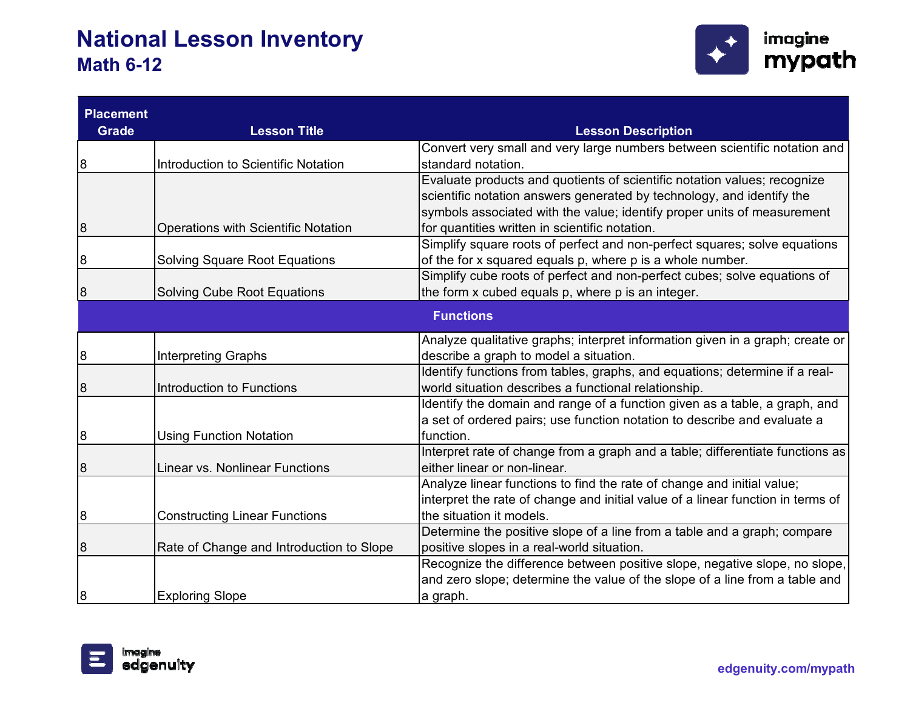

| <b>Placement</b><br><b>Grade</b> | <b>Lesson Title</b>                      | <b>Lesson Description</b>                                                       |
|----------------------------------|------------------------------------------|---------------------------------------------------------------------------------|
|                                  |                                          | Convert very small and very large numbers between scientific notation and       |
| 8                                | Introduction to Scientific Notation      | standard notation.                                                              |
|                                  |                                          | Evaluate products and quotients of scientific notation values; recognize        |
|                                  |                                          | scientific notation answers generated by technology, and identify the           |
|                                  |                                          | symbols associated with the value; identify proper units of measurement         |
| 8                                | Operations with Scientific Notation      | for quantities written in scientific notation.                                  |
|                                  |                                          | Simplify square roots of perfect and non-perfect squares; solve equations       |
| 8                                | <b>Solving Square Root Equations</b>     | of the for x squared equals p, where p is a whole number.                       |
|                                  |                                          | Simplify cube roots of perfect and non-perfect cubes; solve equations of        |
| 8                                | Solving Cube Root Equations              | the form x cubed equals p, where p is an integer.                               |
|                                  |                                          | <b>Functions</b>                                                                |
|                                  |                                          | Analyze qualitative graphs; interpret information given in a graph; create or   |
| 8                                | <b>Interpreting Graphs</b>               | describe a graph to model a situation.                                          |
|                                  |                                          | Identify functions from tables, graphs, and equations; determine if a real-     |
| 8                                | Introduction to Functions                | world situation describes a functional relationship.                            |
|                                  |                                          | Identify the domain and range of a function given as a table, a graph, and      |
|                                  |                                          | a set of ordered pairs; use function notation to describe and evaluate a        |
| 8                                | <b>Using Function Notation</b>           | function.                                                                       |
|                                  |                                          | Interpret rate of change from a graph and a table; differentiate functions as   |
| 8                                | <b>Linear vs. Nonlinear Functions</b>    | either linear or non-linear.                                                    |
|                                  |                                          | Analyze linear functions to find the rate of change and initial value;          |
|                                  |                                          | interpret the rate of change and initial value of a linear function in terms of |
| 8                                | <b>Constructing Linear Functions</b>     | the situation it models.                                                        |
|                                  |                                          | Determine the positive slope of a line from a table and a graph; compare        |
| 8                                | Rate of Change and Introduction to Slope | positive slopes in a real-world situation.                                      |
|                                  |                                          | Recognize the difference between positive slope, negative slope, no slope,      |
|                                  |                                          | and zero slope; determine the value of the slope of a line from a table and     |
| 8                                | <b>Exploring Slope</b>                   | a graph.                                                                        |

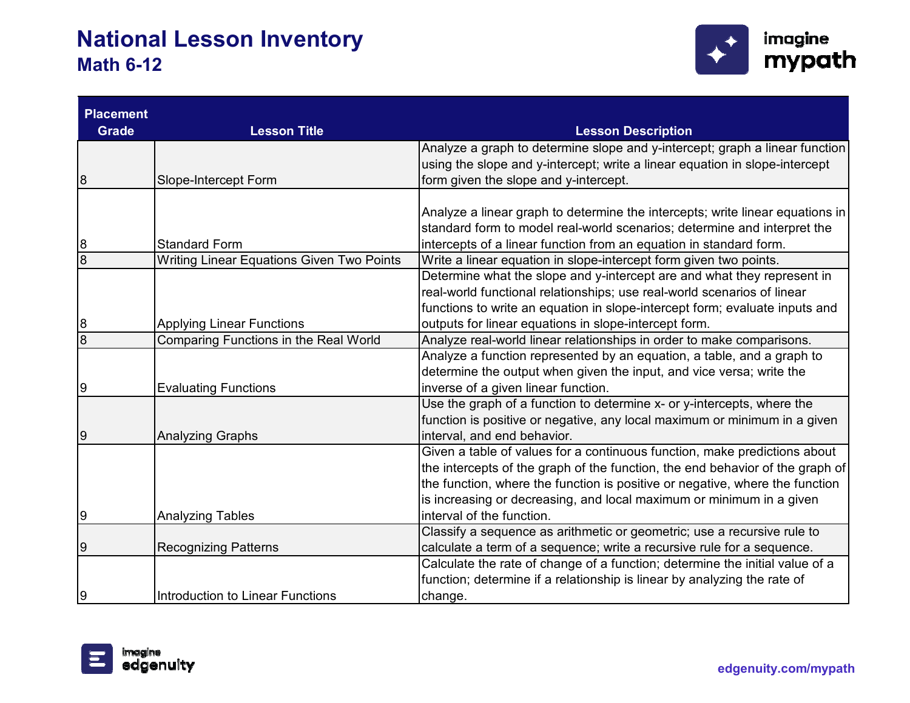

| <b>Placement</b> |                                           |                                                                               |
|------------------|-------------------------------------------|-------------------------------------------------------------------------------|
| <b>Grade</b>     | <b>Lesson Title</b>                       | <b>Lesson Description</b>                                                     |
|                  |                                           | Analyze a graph to determine slope and y-intercept; graph a linear function   |
|                  |                                           | using the slope and y-intercept; write a linear equation in slope-intercept   |
| 8                | Slope-Intercept Form                      | form given the slope and y-intercept.                                         |
|                  |                                           |                                                                               |
|                  |                                           | Analyze a linear graph to determine the intercepts; write linear equations in |
|                  |                                           | standard form to model real-world scenarios; determine and interpret the      |
| 8                | <b>Standard Form</b>                      | intercepts of a linear function from an equation in standard form.            |
| $\overline{8}$   | Writing Linear Equations Given Two Points | Write a linear equation in slope-intercept form given two points.             |
|                  |                                           | Determine what the slope and y-intercept are and what they represent in       |
|                  |                                           | real-world functional relationships; use real-world scenarios of linear       |
|                  |                                           | functions to write an equation in slope-intercept form; evaluate inputs and   |
| 8                | <b>Applying Linear Functions</b>          | outputs for linear equations in slope-intercept form.                         |
| $\overline{8}$   | Comparing Functions in the Real World     | Analyze real-world linear relationships in order to make comparisons.         |
|                  |                                           | Analyze a function represented by an equation, a table, and a graph to        |
|                  |                                           | determine the output when given the input, and vice versa; write the          |
| 9                | <b>Evaluating Functions</b>               | inverse of a given linear function.                                           |
|                  |                                           | Use the graph of a function to determine x- or y-intercepts, where the        |
|                  |                                           | function is positive or negative, any local maximum or minimum in a given     |
| 9                | <b>Analyzing Graphs</b>                   | interval, and end behavior.                                                   |
|                  |                                           | Given a table of values for a continuous function, make predictions about     |
|                  |                                           | the intercepts of the graph of the function, the end behavior of the graph of |
|                  |                                           | the function, where the function is positive or negative, where the function  |
|                  |                                           | is increasing or decreasing, and local maximum or minimum in a given          |
| 9                | <b>Analyzing Tables</b>                   | interval of the function.                                                     |
|                  |                                           | Classify a sequence as arithmetic or geometric; use a recursive rule to       |
| 9                | <b>Recognizing Patterns</b>               | calculate a term of a sequence; write a recursive rule for a sequence.        |
|                  |                                           | Calculate the rate of change of a function; determine the initial value of a  |
|                  |                                           | function; determine if a relationship is linear by analyzing the rate of      |
| 9                | <b>Introduction to Linear Functions</b>   | change.                                                                       |

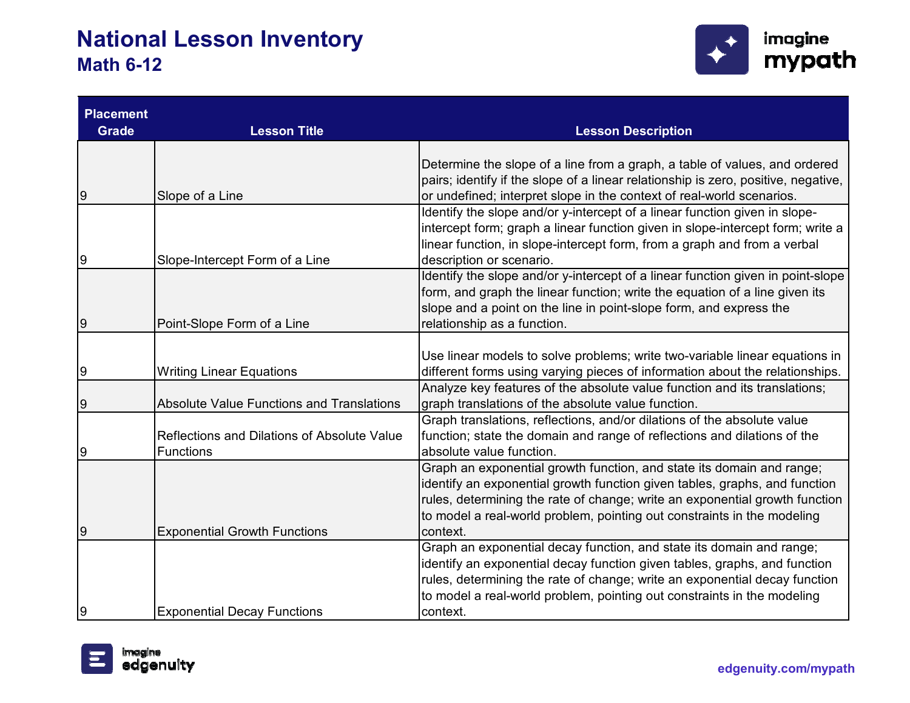

| <b>Placement</b> |                                                                 |                                                                                                                                                                                                                                                                                                                           |
|------------------|-----------------------------------------------------------------|---------------------------------------------------------------------------------------------------------------------------------------------------------------------------------------------------------------------------------------------------------------------------------------------------------------------------|
| <b>Grade</b>     | <b>Lesson Title</b>                                             | <b>Lesson Description</b>                                                                                                                                                                                                                                                                                                 |
| 9                | Slope of a Line                                                 | Determine the slope of a line from a graph, a table of values, and ordered<br>pairs; identify if the slope of a linear relationship is zero, positive, negative,<br>or undefined; interpret slope in the context of real-world scenarios.                                                                                 |
| 9                | Slope-Intercept Form of a Line                                  | Identify the slope and/or y-intercept of a linear function given in slope-<br>intercept form; graph a linear function given in slope-intercept form; write a<br>linear function, in slope-intercept form, from a graph and from a verbal<br>description or scenario.                                                      |
| $9\,$            | Point-Slope Form of a Line                                      | Identify the slope and/or y-intercept of a linear function given in point-slope<br>form, and graph the linear function; write the equation of a line given its<br>slope and a point on the line in point-slope form, and express the<br>relationship as a function.                                                       |
| 9                | <b>Writing Linear Equations</b>                                 | Use linear models to solve problems; write two-variable linear equations in<br>different forms using varying pieces of information about the relationships.                                                                                                                                                               |
| 9                | <b>Absolute Value Functions and Translations</b>                | Analyze key features of the absolute value function and its translations;<br>graph translations of the absolute value function.                                                                                                                                                                                           |
| 9                | Reflections and Dilations of Absolute Value<br><b>Functions</b> | Graph translations, reflections, and/or dilations of the absolute value<br>function; state the domain and range of reflections and dilations of the<br>absolute value function.                                                                                                                                           |
| 9                | <b>Exponential Growth Functions</b>                             | Graph an exponential growth function, and state its domain and range;<br>identify an exponential growth function given tables, graphs, and function<br>rules, determining the rate of change; write an exponential growth function<br>to model a real-world problem, pointing out constraints in the modeling<br>context. |
| 9                | <b>Exponential Decay Functions</b>                              | Graph an exponential decay function, and state its domain and range;<br>identify an exponential decay function given tables, graphs, and function<br>rules, determining the rate of change; write an exponential decay function<br>to model a real-world problem, pointing out constraints in the modeling<br>context.    |

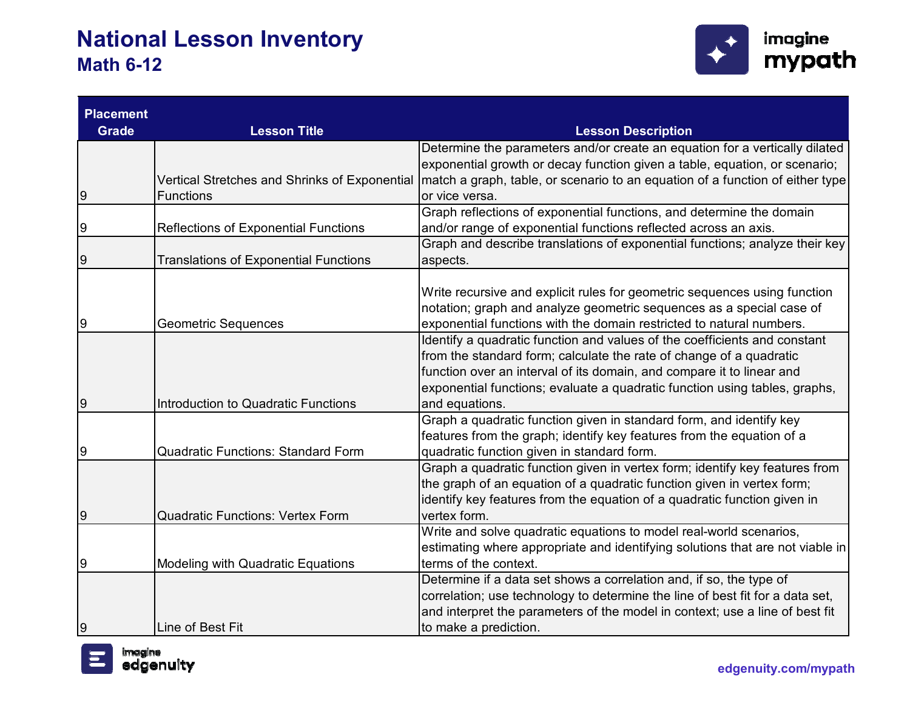

| <b>Placement</b> |                                               |                                                                               |
|------------------|-----------------------------------------------|-------------------------------------------------------------------------------|
| <b>Grade</b>     | <b>Lesson Title</b>                           | <b>Lesson Description</b>                                                     |
|                  |                                               | Determine the parameters and/or create an equation for a vertically dilated   |
|                  |                                               | exponential growth or decay function given a table, equation, or scenario;    |
|                  | Vertical Stretches and Shrinks of Exponential | match a graph, table, or scenario to an equation of a function of either type |
| 9                | Functions                                     | or vice versa.                                                                |
|                  |                                               | Graph reflections of exponential functions, and determine the domain          |
| 9                | <b>Reflections of Exponential Functions</b>   | and/or range of exponential functions reflected across an axis.               |
|                  |                                               | Graph and describe translations of exponential functions; analyze their key   |
| 9                | <b>Translations of Exponential Functions</b>  | aspects.                                                                      |
|                  |                                               |                                                                               |
|                  |                                               | Write recursive and explicit rules for geometric sequences using function     |
|                  |                                               | notation; graph and analyze geometric sequences as a special case of          |
| 9                | <b>Geometric Sequences</b>                    | exponential functions with the domain restricted to natural numbers.          |
|                  |                                               | Identify a quadratic function and values of the coefficients and constant     |
|                  |                                               | from the standard form; calculate the rate of change of a quadratic           |
|                  |                                               | function over an interval of its domain, and compare it to linear and         |
|                  |                                               | exponential functions; evaluate a quadratic function using tables, graphs,    |
| $9$              | Introduction to Quadratic Functions           | and equations.                                                                |
|                  |                                               | Graph a quadratic function given in standard form, and identify key           |
|                  |                                               | features from the graph; identify key features from the equation of a         |
| 9                | <b>Quadratic Functions: Standard Form</b>     | quadratic function given in standard form.                                    |
|                  |                                               | Graph a quadratic function given in vertex form; identify key features from   |
|                  |                                               | the graph of an equation of a quadratic function given in vertex form;        |
|                  |                                               | identify key features from the equation of a quadratic function given in      |
| $9\,$            | <b>Quadratic Functions: Vertex Form</b>       | vertex form.                                                                  |
|                  |                                               | Write and solve quadratic equations to model real-world scenarios,            |
|                  |                                               | estimating where appropriate and identifying solutions that are not viable in |
| 9                | <b>Modeling with Quadratic Equations</b>      | terms of the context.                                                         |
|                  |                                               | Determine if a data set shows a correlation and, if so, the type of           |
|                  |                                               | correlation; use technology to determine the line of best fit for a data set, |
|                  |                                               | and interpret the parameters of the model in context; use a line of best fit  |
| 9                | Line of Best Fit                              | to make a prediction.                                                         |

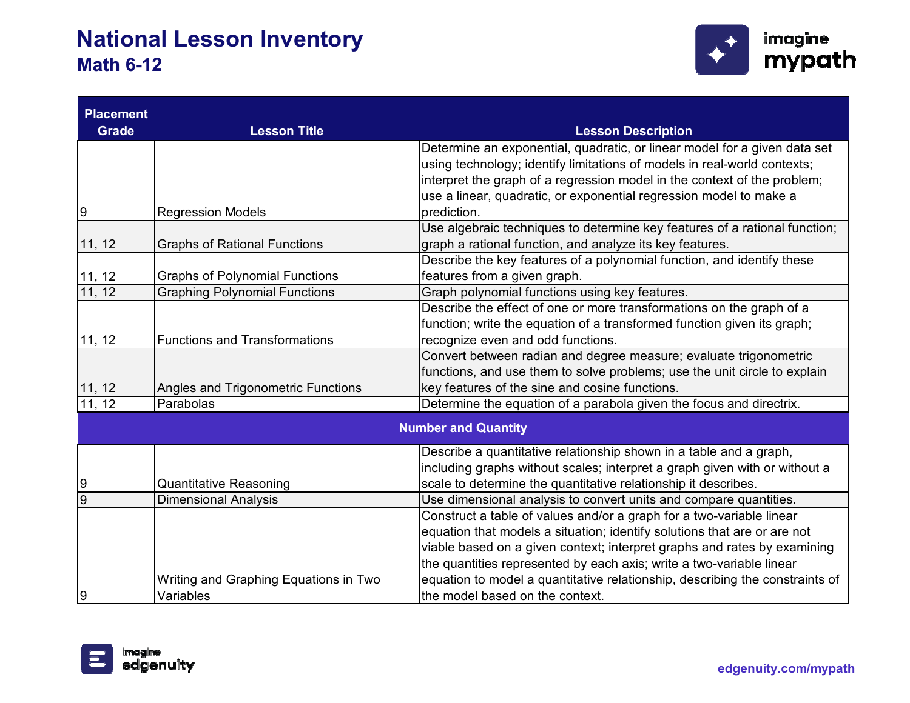

| <b>Placement</b> |                                       |                                                                              |
|------------------|---------------------------------------|------------------------------------------------------------------------------|
| <b>Grade</b>     | <b>Lesson Title</b>                   | <b>Lesson Description</b>                                                    |
|                  |                                       | Determine an exponential, quadratic, or linear model for a given data set    |
|                  |                                       | using technology; identify limitations of models in real-world contexts;     |
|                  |                                       | interpret the graph of a regression model in the context of the problem;     |
|                  |                                       | use a linear, quadratic, or exponential regression model to make a           |
| 9                | <b>Regression Models</b>              | prediction.                                                                  |
|                  |                                       | Use algebraic techniques to determine key features of a rational function;   |
| 11, 12           | <b>Graphs of Rational Functions</b>   | graph a rational function, and analyze its key features.                     |
|                  |                                       | Describe the key features of a polynomial function, and identify these       |
| 11, 12           | <b>Graphs of Polynomial Functions</b> | features from a given graph.                                                 |
| 11, 12           | <b>Graphing Polynomial Functions</b>  | Graph polynomial functions using key features.                               |
|                  |                                       | Describe the effect of one or more transformations on the graph of a         |
|                  |                                       | function; write the equation of a transformed function given its graph;      |
| 11, 12           | <b>Functions and Transformations</b>  | recognize even and odd functions.                                            |
|                  |                                       | Convert between radian and degree measure; evaluate trigonometric            |
|                  |                                       | functions, and use them to solve problems; use the unit circle to explain    |
| 11, 12           | Angles and Trigonometric Functions    | key features of the sine and cosine functions.                               |
| 11, 12           | Parabolas                             | Determine the equation of a parabola given the focus and directrix.          |
|                  |                                       | <b>Number and Quantity</b>                                                   |
|                  |                                       | Describe a quantitative relationship shown in a table and a graph,           |
|                  |                                       | including graphs without scales; interpret a graph given with or without a   |
| 9                | <b>Quantitative Reasoning</b>         | scale to determine the quantitative relationship it describes.               |
| $\overline{9}$   | <b>Dimensional Analysis</b>           | Use dimensional analysis to convert units and compare quantities.            |
|                  |                                       | Construct a table of values and/or a graph for a two-variable linear         |
|                  |                                       | equation that models a situation; identify solutions that are or are not     |
|                  |                                       | viable based on a given context; interpret graphs and rates by examining     |
|                  |                                       | the quantities represented by each axis; write a two-variable linear         |
|                  | Writing and Graphing Equations in Two | equation to model a quantitative relationship, describing the constraints of |
| 9                | Variables                             | the model based on the context.                                              |



**edgenuity.com/mypath**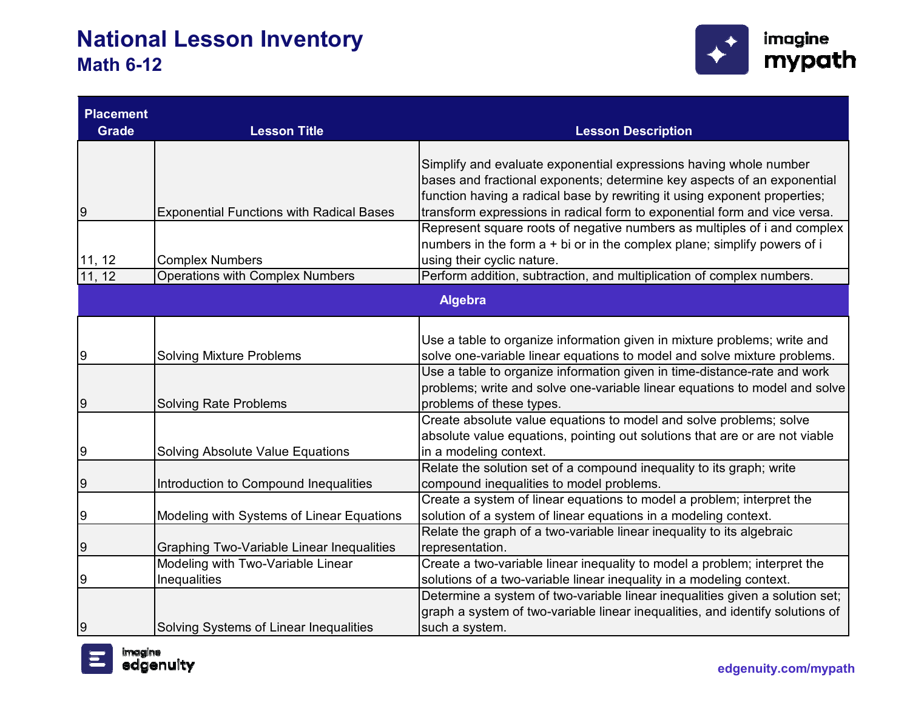

| <b>Placement</b>      |                                                                                                                     |                                                                                                                                                                                                                                                                                                                                                                                                                                                                                                                                                                         |
|-----------------------|---------------------------------------------------------------------------------------------------------------------|-------------------------------------------------------------------------------------------------------------------------------------------------------------------------------------------------------------------------------------------------------------------------------------------------------------------------------------------------------------------------------------------------------------------------------------------------------------------------------------------------------------------------------------------------------------------------|
| <b>Grade</b>          | <b>Lesson Title</b>                                                                                                 | <b>Lesson Description</b>                                                                                                                                                                                                                                                                                                                                                                                                                                                                                                                                               |
| 9<br>11, 12<br>11, 12 | <b>Exponential Functions with Radical Bases</b><br><b>Complex Numbers</b><br><b>Operations with Complex Numbers</b> | Simplify and evaluate exponential expressions having whole number<br>bases and fractional exponents; determine key aspects of an exponential<br>function having a radical base by rewriting it using exponent properties;<br>transform expressions in radical form to exponential form and vice versa.<br>Represent square roots of negative numbers as multiples of i and complex<br>numbers in the form $a + bi$ or in the complex plane; simplify powers of i<br>using their cyclic nature.<br>Perform addition, subtraction, and multiplication of complex numbers. |
|                       |                                                                                                                     | <b>Algebra</b>                                                                                                                                                                                                                                                                                                                                                                                                                                                                                                                                                          |
| 9                     | <b>Solving Mixture Problems</b>                                                                                     | Use a table to organize information given in mixture problems; write and<br>solve one-variable linear equations to model and solve mixture problems.                                                                                                                                                                                                                                                                                                                                                                                                                    |
| 9                     | <b>Solving Rate Problems</b>                                                                                        | Use a table to organize information given in time-distance-rate and work<br>problems; write and solve one-variable linear equations to model and solve<br>problems of these types.                                                                                                                                                                                                                                                                                                                                                                                      |
| 9                     | <b>Solving Absolute Value Equations</b>                                                                             | Create absolute value equations to model and solve problems; solve<br>absolute value equations, pointing out solutions that are or are not viable<br>in a modeling context.                                                                                                                                                                                                                                                                                                                                                                                             |
| 9                     | Introduction to Compound Inequalities                                                                               | Relate the solution set of a compound inequality to its graph; write<br>compound inequalities to model problems.                                                                                                                                                                                                                                                                                                                                                                                                                                                        |
| 9                     | Modeling with Systems of Linear Equations                                                                           | Create a system of linear equations to model a problem; interpret the<br>solution of a system of linear equations in a modeling context.                                                                                                                                                                                                                                                                                                                                                                                                                                |
| 9                     | <b>Graphing Two-Variable Linear Inequalities</b>                                                                    | Relate the graph of a two-variable linear inequality to its algebraic<br>representation.                                                                                                                                                                                                                                                                                                                                                                                                                                                                                |
| 9                     | Modeling with Two-Variable Linear<br>Inequalities                                                                   | Create a two-variable linear inequality to model a problem; interpret the<br>solutions of a two-variable linear inequality in a modeling context.                                                                                                                                                                                                                                                                                                                                                                                                                       |
| 9                     | Solving Systems of Linear Inequalities                                                                              | Determine a system of two-variable linear inequalities given a solution set;<br>graph a system of two-variable linear inequalities, and identify solutions of<br>such a system.                                                                                                                                                                                                                                                                                                                                                                                         |

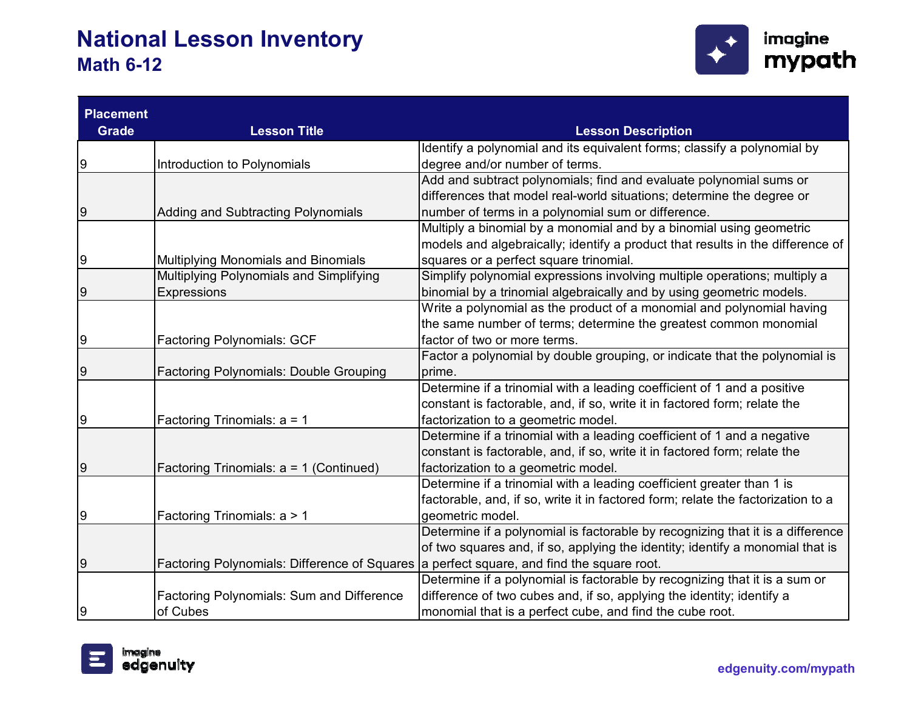

| <b>Placement</b> |                                                                                          |                                                                                  |
|------------------|------------------------------------------------------------------------------------------|----------------------------------------------------------------------------------|
| <b>Grade</b>     | <b>Lesson Title</b>                                                                      | <b>Lesson Description</b>                                                        |
|                  |                                                                                          | Identify a polynomial and its equivalent forms; classify a polynomial by         |
| Ι9               | Introduction to Polynomials                                                              | degree and/or number of terms.                                                   |
|                  |                                                                                          | Add and subtract polynomials; find and evaluate polynomial sums or               |
|                  |                                                                                          | differences that model real-world situations; determine the degree or            |
| 9                | <b>Adding and Subtracting Polynomials</b>                                                | number of terms in a polynomial sum or difference.                               |
|                  |                                                                                          | Multiply a binomial by a monomial and by a binomial using geometric              |
|                  |                                                                                          | models and algebraically; identify a product that results in the difference of   |
| $\overline{9}$   | Multiplying Monomials and Binomials                                                      | squares or a perfect square trinomial.                                           |
|                  | Multiplying Polynomials and Simplifying                                                  | Simplify polynomial expressions involving multiple operations; multiply a        |
| 9                | <b>Expressions</b>                                                                       | binomial by a trinomial algebraically and by using geometric models.             |
|                  |                                                                                          | Write a polynomial as the product of a monomial and polynomial having            |
|                  |                                                                                          | the same number of terms; determine the greatest common monomial                 |
| $\overline{9}$   | <b>Factoring Polynomials: GCF</b>                                                        | factor of two or more terms.                                                     |
|                  |                                                                                          | Factor a polynomial by double grouping, or indicate that the polynomial is       |
| 9                | <b>Factoring Polynomials: Double Grouping</b>                                            | prime.                                                                           |
|                  |                                                                                          | Determine if a trinomial with a leading coefficient of 1 and a positive          |
|                  |                                                                                          | constant is factorable, and, if so, write it in factored form; relate the        |
| 9                | Factoring Trinomials: a = 1                                                              | factorization to a geometric model.                                              |
|                  |                                                                                          | Determine if a trinomial with a leading coefficient of 1 and a negative          |
|                  |                                                                                          | constant is factorable, and, if so, write it in factored form; relate the        |
| 9                | Factoring Trinomials: a = 1 (Continued)                                                  | factorization to a geometric model.                                              |
|                  |                                                                                          | Determine if a trinomial with a leading coefficient greater than 1 is            |
|                  |                                                                                          | factorable, and, if so, write it in factored form; relate the factorization to a |
| 9                | Factoring Trinomials: a > 1                                                              | geometric model.                                                                 |
|                  |                                                                                          | Determine if a polynomial is factorable by recognizing that it is a difference   |
|                  |                                                                                          | of two squares and, if so, applying the identity; identify a monomial that is    |
| $\overline{9}$   | Factoring Polynomials: Difference of Squares a perfect square, and find the square root. |                                                                                  |
|                  |                                                                                          | Determine if a polynomial is factorable by recognizing that it is a sum or       |
|                  | <b>Factoring Polynomials: Sum and Difference</b>                                         | difference of two cubes and, if so, applying the identity; identify a            |
| $\overline{9}$   | of Cubes                                                                                 | monomial that is a perfect cube, and find the cube root.                         |

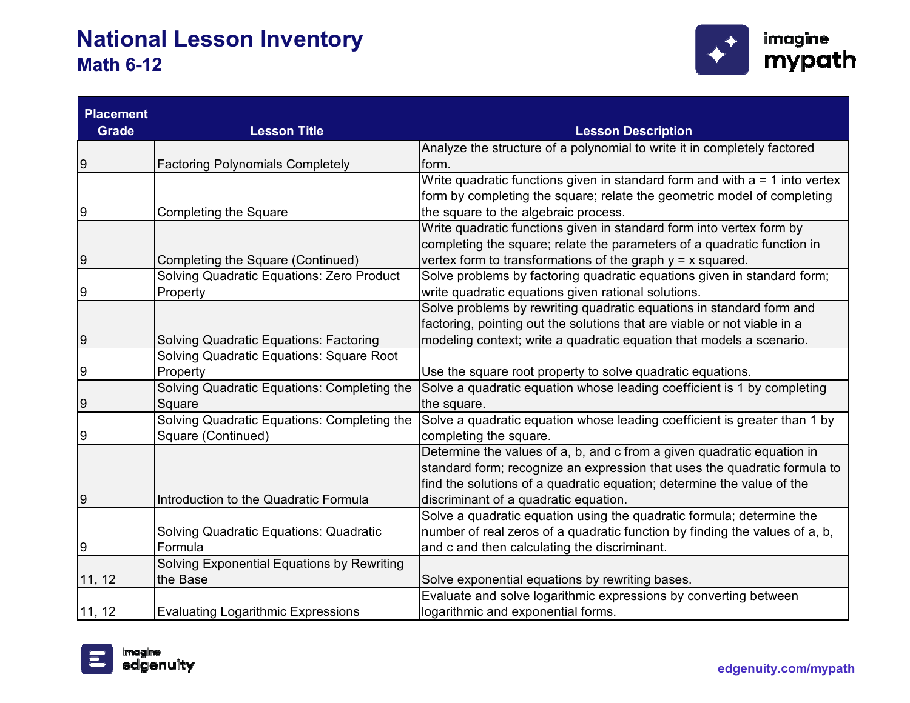

| <b>Placement</b> |                                                 |                                                                               |
|------------------|-------------------------------------------------|-------------------------------------------------------------------------------|
| <b>Grade</b>     | <b>Lesson Title</b>                             | <b>Lesson Description</b>                                                     |
|                  |                                                 | Analyze the structure of a polynomial to write it in completely factored      |
| 9                | <b>Factoring Polynomials Completely</b>         | form.                                                                         |
|                  |                                                 | Write quadratic functions given in standard form and with $a = 1$ into vertex |
|                  |                                                 | form by completing the square; relate the geometric model of completing       |
| 9                | <b>Completing the Square</b>                    | the square to the algebraic process.                                          |
|                  |                                                 | Write quadratic functions given in standard form into vertex form by          |
|                  |                                                 | completing the square; relate the parameters of a quadratic function in       |
| 9                | Completing the Square (Continued)               | vertex form to transformations of the graph $y = x$ squared.                  |
|                  | Solving Quadratic Equations: Zero Product       | Solve problems by factoring quadratic equations given in standard form;       |
| 9                | Property                                        | write quadratic equations given rational solutions.                           |
|                  |                                                 | Solve problems by rewriting quadratic equations in standard form and          |
|                  |                                                 | factoring, pointing out the solutions that are viable or not viable in a      |
| 9                | <b>Solving Quadratic Equations: Factoring</b>   | modeling context; write a quadratic equation that models a scenario.          |
|                  | <b>Solving Quadratic Equations: Square Root</b> |                                                                               |
| 9                | Property                                        | Use the square root property to solve quadratic equations.                    |
|                  | Solving Quadratic Equations: Completing the     | Solve a quadratic equation whose leading coefficient is 1 by completing       |
| $\overline{9}$   | Square                                          | the square.                                                                   |
|                  | Solving Quadratic Equations: Completing the     | Solve a quadratic equation whose leading coefficient is greater than 1 by     |
| 9                | Square (Continued)                              | completing the square.                                                        |
|                  |                                                 | Determine the values of a, b, and c from a given quadratic equation in        |
|                  |                                                 | standard form; recognize an expression that uses the quadratic formula to     |
|                  |                                                 | find the solutions of a quadratic equation; determine the value of the        |
| $\overline{9}$   | Introduction to the Quadratic Formula           | discriminant of a quadratic equation.                                         |
|                  |                                                 | Solve a quadratic equation using the quadratic formula; determine the         |
|                  | Solving Quadratic Equations: Quadratic          | number of real zeros of a quadratic function by finding the values of a, b,   |
| 9                | Formula                                         | and c and then calculating the discriminant.                                  |
|                  | Solving Exponential Equations by Rewriting      |                                                                               |
| 11, 12           | the Base                                        | Solve exponential equations by rewriting bases.                               |
|                  |                                                 | Evaluate and solve logarithmic expressions by converting between              |
| 11, 12           | <b>Evaluating Logarithmic Expressions</b>       | logarithmic and exponential forms.                                            |

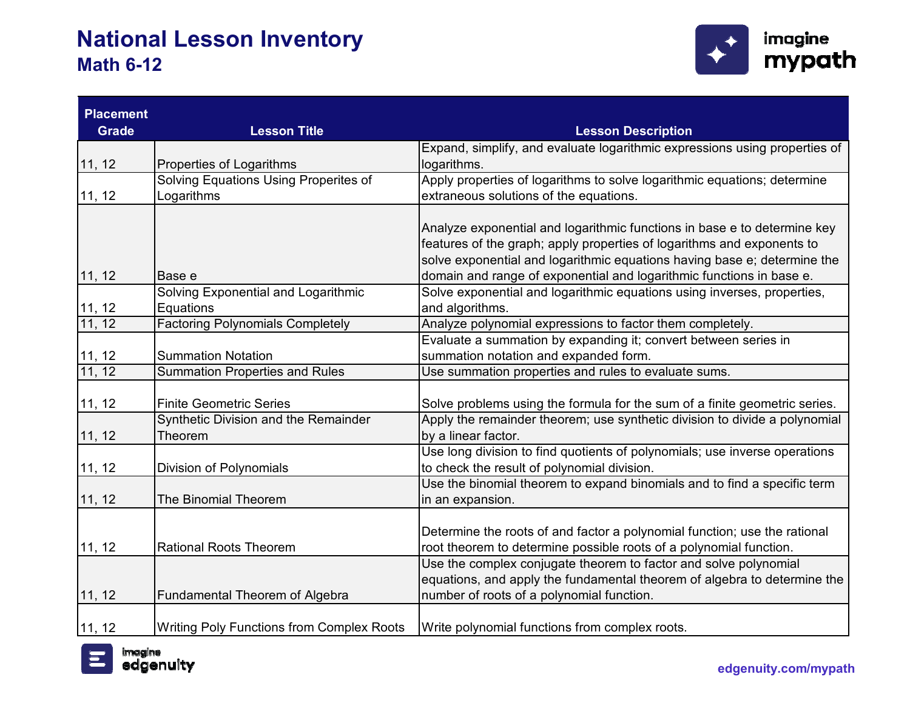

| <b>Placement</b> |                                                  |                                                                            |
|------------------|--------------------------------------------------|----------------------------------------------------------------------------|
| <b>Grade</b>     | <b>Lesson Title</b>                              | <b>Lesson Description</b>                                                  |
|                  |                                                  | Expand, simplify, and evaluate logarithmic expressions using properties of |
| 11, 12           | Properties of Logarithms                         | logarithms.                                                                |
|                  | Solving Equations Using Properites of            | Apply properties of logarithms to solve logarithmic equations; determine   |
| 11, 12           | Logarithms                                       | extraneous solutions of the equations.                                     |
|                  |                                                  |                                                                            |
|                  |                                                  | Analyze exponential and logarithmic functions in base e to determine key   |
|                  |                                                  | features of the graph; apply properties of logarithms and exponents to     |
|                  |                                                  | solve exponential and logarithmic equations having base e; determine the   |
| 11, 12           | Base e                                           | domain and range of exponential and logarithmic functions in base e.       |
|                  | Solving Exponential and Logarithmic              | Solve exponential and logarithmic equations using inverses, properties,    |
| 11, 12           | Equations                                        | and algorithms.                                                            |
| 11, 12           | <b>Factoring Polynomials Completely</b>          | Analyze polynomial expressions to factor them completely.                  |
|                  |                                                  | Evaluate a summation by expanding it; convert between series in            |
| 11, 12           | <b>Summation Notation</b>                        | summation notation and expanded form.                                      |
| 11, 12           | <b>Summation Properties and Rules</b>            | Use summation properties and rules to evaluate sums.                       |
|                  |                                                  |                                                                            |
| 11, 12           | <b>Finite Geometric Series</b>                   | Solve problems using the formula for the sum of a finite geometric series. |
|                  | Synthetic Division and the Remainder             | Apply the remainder theorem; use synthetic division to divide a polynomial |
| 11, 12           | Theorem                                          | by a linear factor.                                                        |
|                  |                                                  | Use long division to find quotients of polynomials; use inverse operations |
| 11, 12           | Division of Polynomials                          | to check the result of polynomial division.                                |
|                  |                                                  | Use the binomial theorem to expand binomials and to find a specific term   |
| 11, 12           | <b>The Binomial Theorem</b>                      | in an expansion.                                                           |
|                  |                                                  |                                                                            |
|                  |                                                  | Determine the roots of and factor a polynomial function; use the rational  |
| 11, 12           | <b>Rational Roots Theorem</b>                    | root theorem to determine possible roots of a polynomial function.         |
|                  |                                                  | Use the complex conjugate theorem to factor and solve polynomial           |
|                  |                                                  | equations, and apply the fundamental theorem of algebra to determine the   |
| 11, 12           | <b>Fundamental Theorem of Algebra</b>            | number of roots of a polynomial function.                                  |
|                  |                                                  |                                                                            |
| 11, 12           | <b>Writing Poly Functions from Complex Roots</b> | Write polynomial functions from complex roots.                             |

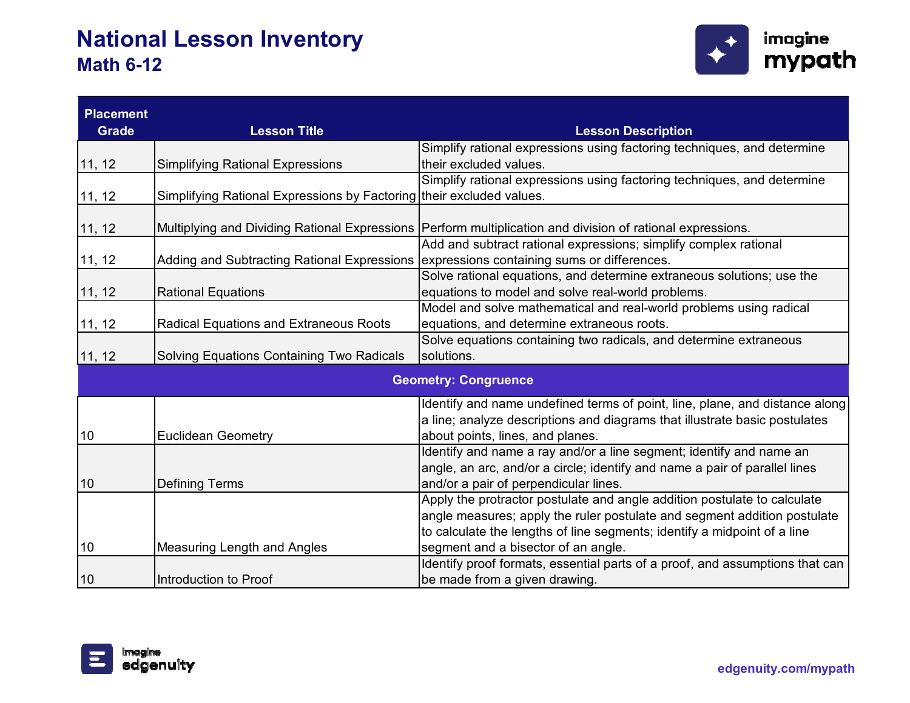

| <b>Placement</b> |                                                                                           |                                                                                                              |
|------------------|-------------------------------------------------------------------------------------------|--------------------------------------------------------------------------------------------------------------|
| <b>Grade</b>     | <b>Lesson Title</b>                                                                       | <b>Lesson Description</b>                                                                                    |
|                  |                                                                                           | Simplify rational expressions using factoring techniques, and determine                                      |
| 11, 12           | <b>Simplifying Rational Expressions</b>                                                   | their excluded values.                                                                                       |
|                  |                                                                                           | Simplify rational expressions using factoring techniques, and determine                                      |
| 11, 12           | Simplifying Rational Expressions by Factoring their excluded values.                      |                                                                                                              |
|                  |                                                                                           |                                                                                                              |
| 11, 12           |                                                                                           | Multiplying and Dividing Rational Expressions   Perform multiplication and division of rational expressions. |
|                  |                                                                                           | Add and subtract rational expressions; simplify complex rational                                             |
| 11, 12           | Adding and Subtracting Rational Expressions   expressions containing sums or differences. |                                                                                                              |
|                  |                                                                                           | Solve rational equations, and determine extraneous solutions; use the                                        |
| 11, 12           | <b>Rational Equations</b>                                                                 | equations to model and solve real-world problems.                                                            |
|                  |                                                                                           | Model and solve mathematical and real-world problems using radical                                           |
| 11, 12           | Radical Equations and Extraneous Roots                                                    | equations, and determine extraneous roots.                                                                   |
|                  |                                                                                           | Solve equations containing two radicals, and determine extraneous                                            |
| 11, 12           | Solving Equations Containing Two Radicals                                                 | solutions.                                                                                                   |
|                  |                                                                                           | <b>Geometry: Congruence</b>                                                                                  |
|                  |                                                                                           | Identify and name undefined terms of point, line, plane, and distance along                                  |
|                  |                                                                                           | a line; analyze descriptions and diagrams that illustrate basic postulates                                   |
| 10               | <b>Euclidean Geometry</b>                                                                 | about points, lines, and planes.                                                                             |
|                  |                                                                                           | Identify and name a ray and/or a line segment; identify and name an                                          |
|                  |                                                                                           | angle, an arc, and/or a circle; identify and name a pair of parallel lines                                   |
| 10               | <b>Defining Terms</b>                                                                     | and/or a pair of perpendicular lines.                                                                        |
|                  |                                                                                           | Apply the protractor postulate and angle addition postulate to calculate                                     |
|                  |                                                                                           | angle measures; apply the ruler postulate and segment addition postulate                                     |
|                  |                                                                                           | to calculate the lengths of line segments; identify a midpoint of a line                                     |
| 10               | <b>Measuring Length and Angles</b>                                                        | segment and a bisector of an angle.                                                                          |
|                  |                                                                                           | Identify proof formats, essential parts of a proof, and assumptions that can                                 |
| 10               | Introduction to Proof                                                                     | be made from a given drawing.                                                                                |

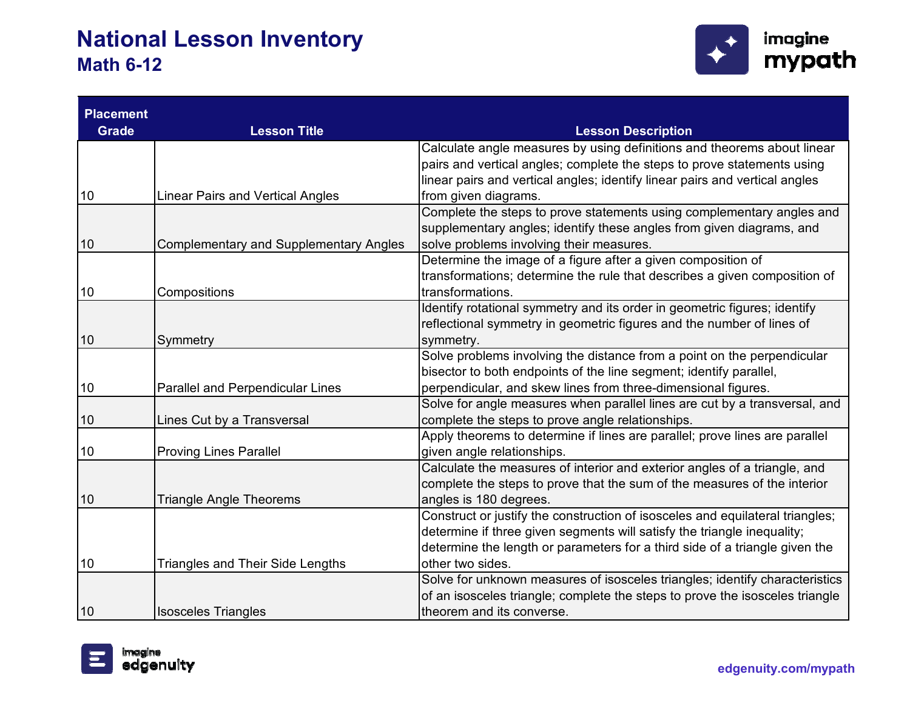

| <b>Placement</b> |                                               |                                                                               |
|------------------|-----------------------------------------------|-------------------------------------------------------------------------------|
| <b>Grade</b>     | <b>Lesson Title</b>                           | <b>Lesson Description</b>                                                     |
|                  |                                               | Calculate angle measures by using definitions and theorems about linear       |
|                  |                                               | pairs and vertical angles; complete the steps to prove statements using       |
|                  |                                               | linear pairs and vertical angles; identify linear pairs and vertical angles   |
| 10               | <b>Linear Pairs and Vertical Angles</b>       | from given diagrams.                                                          |
|                  |                                               | Complete the steps to prove statements using complementary angles and         |
|                  |                                               | supplementary angles; identify these angles from given diagrams, and          |
| 10               | <b>Complementary and Supplementary Angles</b> | solve problems involving their measures.                                      |
|                  |                                               | Determine the image of a figure after a given composition of                  |
|                  |                                               | transformations; determine the rule that describes a given composition of     |
| 10               | Compositions                                  | transformations.                                                              |
|                  |                                               | Identify rotational symmetry and its order in geometric figures; identify     |
|                  |                                               | reflectional symmetry in geometric figures and the number of lines of         |
| 10               | Symmetry                                      | symmetry.                                                                     |
|                  |                                               | Solve problems involving the distance from a point on the perpendicular       |
|                  |                                               | bisector to both endpoints of the line segment; identify parallel,            |
| 10               | <b>Parallel and Perpendicular Lines</b>       | perpendicular, and skew lines from three-dimensional figures.                 |
|                  |                                               | Solve for angle measures when parallel lines are cut by a transversal, and    |
| 10               | Lines Cut by a Transversal                    | complete the steps to prove angle relationships.                              |
|                  |                                               | Apply theorems to determine if lines are parallel; prove lines are parallel   |
| 10               | <b>Proving Lines Parallel</b>                 | given angle relationships.                                                    |
|                  |                                               | Calculate the measures of interior and exterior angles of a triangle, and     |
|                  |                                               | complete the steps to prove that the sum of the measures of the interior      |
| 10               | <b>Triangle Angle Theorems</b>                | angles is 180 degrees.                                                        |
|                  |                                               | Construct or justify the construction of isosceles and equilateral triangles; |
|                  |                                               | determine if three given segments will satisfy the triangle inequality;       |
|                  |                                               | determine the length or parameters for a third side of a triangle given the   |
| 10               | Triangles and Their Side Lengths              | other two sides.                                                              |
|                  |                                               | Solve for unknown measures of isosceles triangles; identify characteristics   |
|                  |                                               | of an isosceles triangle; complete the steps to prove the isosceles triangle  |
| 10               | <b>Isosceles Triangles</b>                    | theorem and its converse.                                                     |

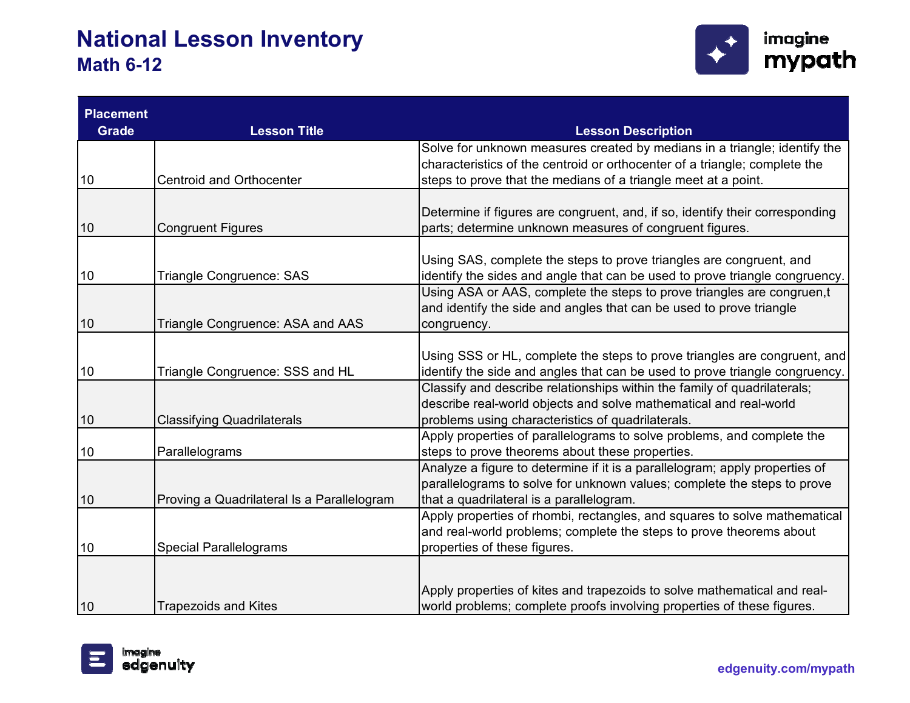

| <b>Placement</b> |                                            |                                                                              |
|------------------|--------------------------------------------|------------------------------------------------------------------------------|
| <b>Grade</b>     | <b>Lesson Title</b>                        | <b>Lesson Description</b>                                                    |
|                  |                                            | Solve for unknown measures created by medians in a triangle; identify the    |
|                  |                                            | characteristics of the centroid or orthocenter of a triangle; complete the   |
| 10               | <b>Centroid and Orthocenter</b>            | steps to prove that the medians of a triangle meet at a point.               |
|                  |                                            |                                                                              |
| 10               |                                            | Determine if figures are congruent, and, if so, identify their corresponding |
|                  | <b>Congruent Figures</b>                   | parts; determine unknown measures of congruent figures.                      |
|                  |                                            | Using SAS, complete the steps to prove triangles are congruent, and          |
| 10               | <b>Triangle Congruence: SAS</b>            | identify the sides and angle that can be used to prove triangle congruency.  |
|                  |                                            | Using ASA or AAS, complete the steps to prove triangles are congruen,t       |
|                  |                                            | and identify the side and angles that can be used to prove triangle          |
| 10               | Triangle Congruence: ASA and AAS           | congruency.                                                                  |
|                  |                                            |                                                                              |
|                  |                                            | Using SSS or HL, complete the steps to prove triangles are congruent, and    |
| 10               | Triangle Congruence: SSS and HL            | identify the side and angles that can be used to prove triangle congruency.  |
|                  |                                            | Classify and describe relationships within the family of quadrilaterals;     |
|                  |                                            | describe real-world objects and solve mathematical and real-world            |
| 10               | <b>Classifying Quadrilaterals</b>          | problems using characteristics of quadrilaterals.                            |
|                  |                                            | Apply properties of parallelograms to solve problems, and complete the       |
| 10               | Parallelograms                             | steps to prove theorems about these properties.                              |
|                  |                                            | Analyze a figure to determine if it is a parallelogram; apply properties of  |
|                  |                                            | parallelograms to solve for unknown values; complete the steps to prove      |
| 10               | Proving a Quadrilateral Is a Parallelogram | that a quadrilateral is a parallelogram.                                     |
|                  |                                            | Apply properties of rhombi, rectangles, and squares to solve mathematical    |
|                  |                                            | and real-world problems; complete the steps to prove theorems about          |
| 10               | <b>Special Parallelograms</b>              | properties of these figures.                                                 |
|                  |                                            |                                                                              |
|                  |                                            | Apply properties of kites and trapezoids to solve mathematical and real-     |
| 10               | <b>Trapezoids and Kites</b>                | world problems; complete proofs involving properties of these figures.       |

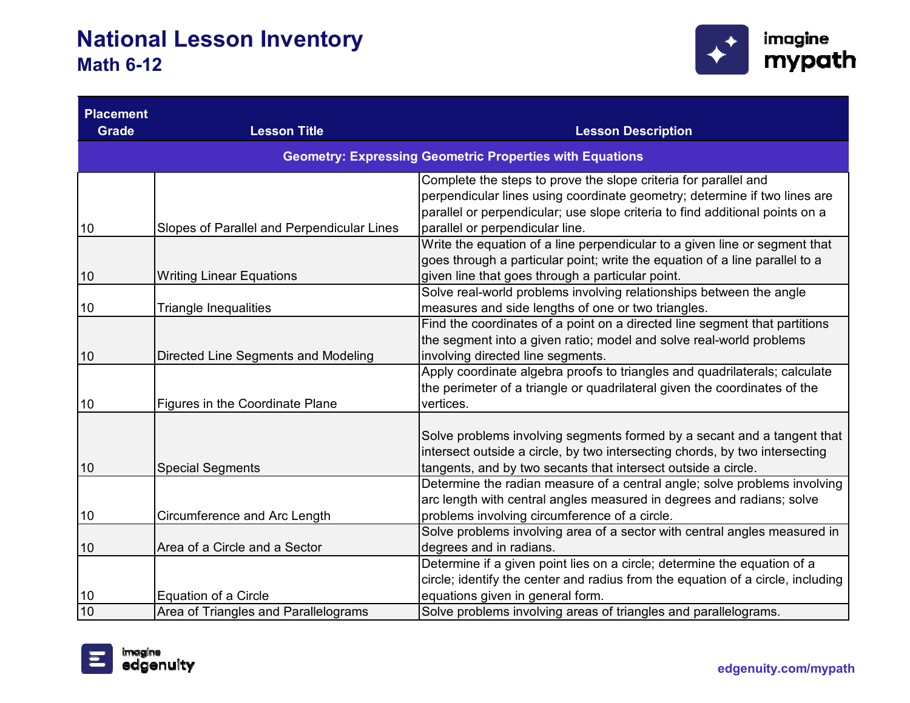

| <b>Placement</b><br><b>Grade</b> | <b>Lesson Title</b>                        | <b>Lesson Description</b>                                                       |
|----------------------------------|--------------------------------------------|---------------------------------------------------------------------------------|
|                                  |                                            | <b>Geometry: Expressing Geometric Properties with Equations</b>                 |
|                                  |                                            | Complete the steps to prove the slope criteria for parallel and                 |
|                                  |                                            | perpendicular lines using coordinate geometry; determine if two lines are       |
|                                  |                                            | parallel or perpendicular; use slope criteria to find additional points on a    |
| 10                               | Slopes of Parallel and Perpendicular Lines | parallel or perpendicular line.                                                 |
|                                  |                                            | Write the equation of a line perpendicular to a given line or segment that      |
|                                  |                                            | goes through a particular point; write the equation of a line parallel to a     |
| 10                               | <b>Writing Linear Equations</b>            | given line that goes through a particular point.                                |
|                                  |                                            | Solve real-world problems involving relationships between the angle             |
| 10                               | <b>Triangle Inequalities</b>               | measures and side lengths of one or two triangles.                              |
|                                  |                                            | Find the coordinates of a point on a directed line segment that partitions      |
|                                  |                                            | the segment into a given ratio; model and solve real-world problems             |
| 10                               | Directed Line Segments and Modeling        | involving directed line segments.                                               |
|                                  |                                            | Apply coordinate algebra proofs to triangles and quadrilaterals; calculate      |
|                                  |                                            | the perimeter of a triangle or quadrilateral given the coordinates of the       |
| 10                               | Figures in the Coordinate Plane            | vertices.                                                                       |
|                                  |                                            |                                                                                 |
|                                  |                                            | Solve problems involving segments formed by a secant and a tangent that         |
|                                  |                                            | intersect outside a circle, by two intersecting chords, by two intersecting     |
| 10                               | <b>Special Segments</b>                    | tangents, and by two secants that intersect outside a circle.                   |
|                                  |                                            | Determine the radian measure of a central angle; solve problems involving       |
|                                  |                                            | arc length with central angles measured in degrees and radians; solve           |
| 10                               | Circumference and Arc Length               | problems involving circumference of a circle.                                   |
|                                  |                                            | Solve problems involving area of a sector with central angles measured in       |
| 10                               | Area of a Circle and a Sector              | degrees and in radians.                                                         |
|                                  |                                            | Determine if a given point lies on a circle; determine the equation of a        |
|                                  |                                            | circle; identify the center and radius from the equation of a circle, including |
| 10                               | Equation of a Circle                       | equations given in general form.                                                |
| 10                               | Area of Triangles and Parallelograms       | Solve problems involving areas of triangles and parallelograms.                 |

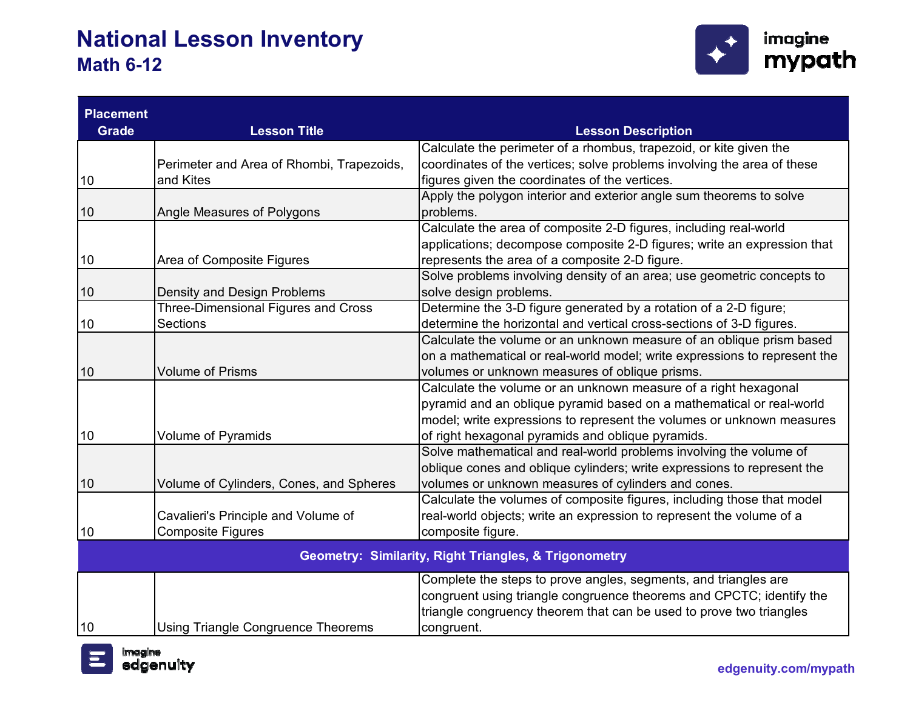

| <b>Placement</b>                                                 |                                           |                                                                           |
|------------------------------------------------------------------|-------------------------------------------|---------------------------------------------------------------------------|
| <b>Grade</b>                                                     | <b>Lesson Title</b>                       | <b>Lesson Description</b>                                                 |
|                                                                  |                                           | Calculate the perimeter of a rhombus, trapezoid, or kite given the        |
|                                                                  | Perimeter and Area of Rhombi, Trapezoids, | coordinates of the vertices; solve problems involving the area of these   |
| 10                                                               | and Kites                                 | figures given the coordinates of the vertices.                            |
|                                                                  |                                           | Apply the polygon interior and exterior angle sum theorems to solve       |
| 10                                                               | Angle Measures of Polygons                | problems.                                                                 |
|                                                                  |                                           | Calculate the area of composite 2-D figures, including real-world         |
|                                                                  |                                           | applications; decompose composite 2-D figures; write an expression that   |
| 10                                                               | Area of Composite Figures                 | represents the area of a composite 2-D figure.                            |
|                                                                  |                                           | Solve problems involving density of an area; use geometric concepts to    |
| 10                                                               | Density and Design Problems               | solve design problems.                                                    |
|                                                                  | Three-Dimensional Figures and Cross       | Determine the 3-D figure generated by a rotation of a 2-D figure;         |
| 10                                                               | <b>Sections</b>                           | determine the horizontal and vertical cross-sections of 3-D figures.      |
|                                                                  |                                           | Calculate the volume or an unknown measure of an oblique prism based      |
|                                                                  |                                           | on a mathematical or real-world model; write expressions to represent the |
| 10                                                               | <b>Volume of Prisms</b>                   | volumes or unknown measures of oblique prisms.                            |
|                                                                  |                                           | Calculate the volume or an unknown measure of a right hexagonal           |
|                                                                  |                                           | pyramid and an oblique pyramid based on a mathematical or real-world      |
|                                                                  |                                           | model; write expressions to represent the volumes or unknown measures     |
| 10                                                               | Volume of Pyramids                        | of right hexagonal pyramids and oblique pyramids.                         |
|                                                                  |                                           | Solve mathematical and real-world problems involving the volume of        |
|                                                                  |                                           | oblique cones and oblique cylinders; write expressions to represent the   |
| 10                                                               | Volume of Cylinders, Cones, and Spheres   | volumes or unknown measures of cylinders and cones.                       |
|                                                                  |                                           | Calculate the volumes of composite figures, including those that model    |
|                                                                  | Cavalieri's Principle and Volume of       | real-world objects; write an expression to represent the volume of a      |
| 10                                                               | <b>Composite Figures</b>                  | composite figure.                                                         |
| <b>Geometry: Similarity, Right Triangles, &amp; Trigonometry</b> |                                           |                                                                           |
|                                                                  |                                           | Complete the steps to prove angles, segments, and triangles are           |
|                                                                  |                                           | congruent using triangle congruence theorems and CPCTC; identify the      |
|                                                                  |                                           | triangle congruency theorem that can be used to prove two triangles       |
| 10                                                               | Using Triangle Congruence Theorems        | congruent.                                                                |
|                                                                  |                                           |                                                                           |

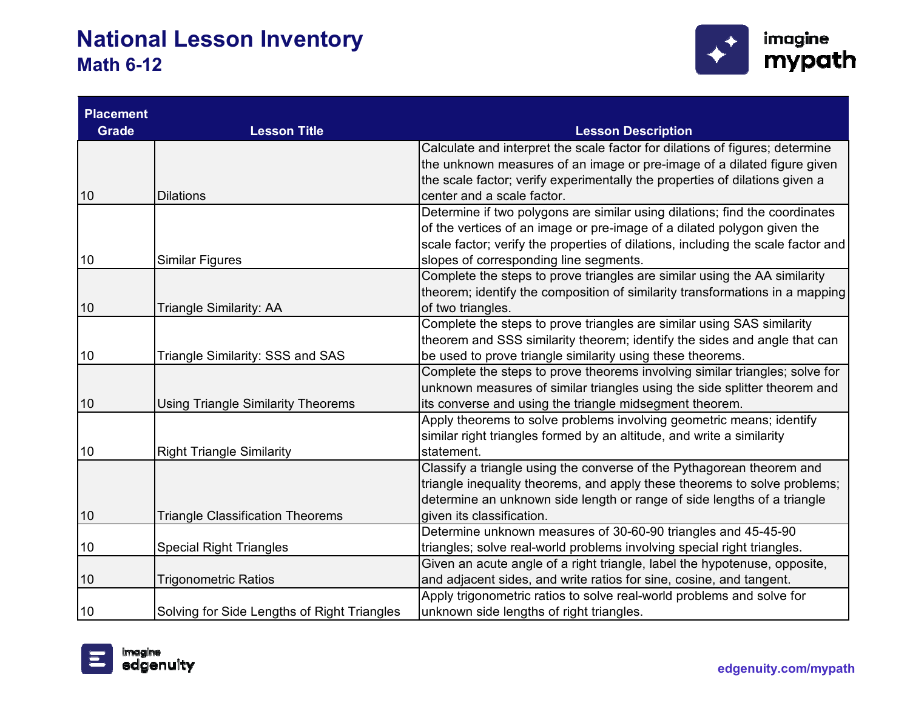

| <b>Placement</b> |                                             |                                                                                  |
|------------------|---------------------------------------------|----------------------------------------------------------------------------------|
| <b>Grade</b>     | <b>Lesson Title</b>                         | <b>Lesson Description</b>                                                        |
|                  |                                             | Calculate and interpret the scale factor for dilations of figures; determine     |
|                  |                                             | the unknown measures of an image or pre-image of a dilated figure given          |
|                  |                                             | the scale factor; verify experimentally the properties of dilations given a      |
| 10               | <b>Dilations</b>                            | center and a scale factor.                                                       |
|                  |                                             | Determine if two polygons are similar using dilations; find the coordinates      |
|                  |                                             | of the vertices of an image or pre-image of a dilated polygon given the          |
|                  |                                             | scale factor; verify the properties of dilations, including the scale factor and |
| 10               | <b>Similar Figures</b>                      | slopes of corresponding line segments.                                           |
|                  |                                             | Complete the steps to prove triangles are similar using the AA similarity        |
|                  |                                             | theorem; identify the composition of similarity transformations in a mapping     |
| 10               | Triangle Similarity: AA                     | of two triangles.                                                                |
|                  |                                             | Complete the steps to prove triangles are similar using SAS similarity           |
|                  |                                             | theorem and SSS similarity theorem; identify the sides and angle that can        |
| 10               | Triangle Similarity: SSS and SAS            | be used to prove triangle similarity using these theorems.                       |
|                  |                                             | Complete the steps to prove theorems involving similar triangles; solve for      |
|                  |                                             | unknown measures of similar triangles using the side splitter theorem and        |
| 10               | <b>Using Triangle Similarity Theorems</b>   | its converse and using the triangle midsegment theorem.                          |
|                  |                                             | Apply theorems to solve problems involving geometric means; identify             |
|                  |                                             | similar right triangles formed by an altitude, and write a similarity            |
| 10               | <b>Right Triangle Similarity</b>            | statement.                                                                       |
|                  |                                             | Classify a triangle using the converse of the Pythagorean theorem and            |
|                  |                                             | triangle inequality theorems, and apply these theorems to solve problems;        |
|                  |                                             | determine an unknown side length or range of side lengths of a triangle          |
| 10               | <b>Triangle Classification Theorems</b>     | given its classification.                                                        |
|                  |                                             | Determine unknown measures of 30-60-90 triangles and 45-45-90                    |
| 10               | <b>Special Right Triangles</b>              | triangles; solve real-world problems involving special right triangles.          |
|                  |                                             | Given an acute angle of a right triangle, label the hypotenuse, opposite,        |
| 10               | <b>Trigonometric Ratios</b>                 | and adjacent sides, and write ratios for sine, cosine, and tangent.              |
|                  |                                             | Apply trigonometric ratios to solve real-world problems and solve for            |
| 10               | Solving for Side Lengths of Right Triangles | unknown side lengths of right triangles.                                         |



**edgenuity.com/mypath**